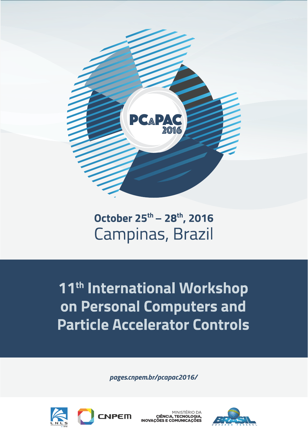

# October 25<sup>th</sup> - 28<sup>th</sup>, 2016 Campinas, Brazil

11<sup>th</sup> International Workshop on Personal Computers and **Particle Accelerator Controls** 

*pages.cnpem.br/pcapac2016/*



M**I**NISTÉRIO D CIÊNCIA, TECNOLOGI

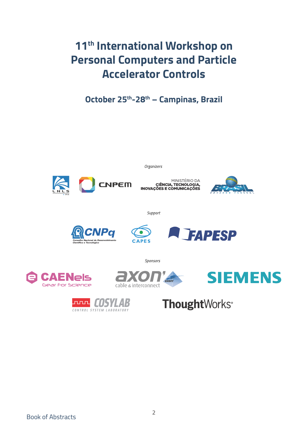## **11th International Workshop on Personal Computers and Particle Accelerator Controls**

**October 25th-28th – Campinas, Brazil**



Organizers





Support







ENels Gear For Science



Sponsors





**Thought**Works<sup>®</sup>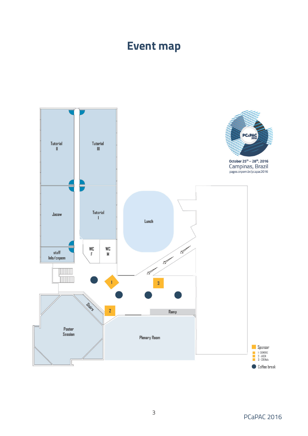## **Event map**

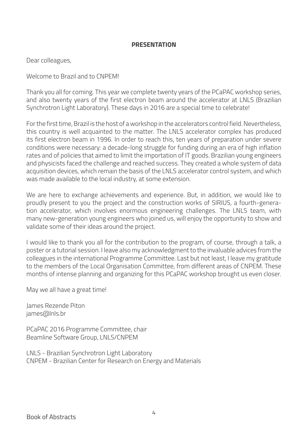#### **PRESENTATION**

Dear colleagues,

Welcome to Brazil and to CNPEM!

Thank you all for coming. This year we complete twenty years of the PCaPAC workshop series, and also twenty years of the first electron beam around the accelerator at LNLS (Brazilian Synchrotron Light Laboratory). These days in 2016 are a special time to celebrate!

For the first time, Brazil is the host of a workshop in the accelerators control field. Nevertheless, this country is well acquainted to the matter. The LNLS accelerator complex has produced its first electron beam in 1996. In order to reach this, ten years of preparation under severe conditions were necessary: a decade-long struggle for funding during an era of high inflation rates and of policies that aimed to limit the importation of IT goods. Brazilian young engineers and physicists faced the challenge and reached success. They created a whole system of data acquisition devices, which remain the basis of the LNLS accelerator control system, and which was made available to the local industry, at some extension.

We are here to exchange achievements and experience. But, in addition, we would like to proudly present to you the project and the construction works of SIRIUS, a fourth-generation accelerator, which involves enormous engineering challenges. The LNLS team, with many new-generation young engineers who joined us, will enjoy the opportunity to show and validate some of their ideas around the project.

I would like to thank you all for the contribution to the program, of course, through a talk, a poster or a tutorial session. I leave also my acknowledgment to the invaluable advices from the colleagues in the international Programme Committee. Last but not least, I leave my gratitude to the members of the Local Organisation Committee, from different areas of CNPEM. These months of intense planning and organizing for this PCaPAC workshop brought us even closer.

May we all have a great time!

James Rezende Piton james@lnls.br

PCaPAC 2016 Programme Committee, chair Beamline Software Group, LNLS/CNPEM

LNLS - Brazilian Synchrotron Light Laboratory CNPEM - Brazilian Center for Research on Energy and Materials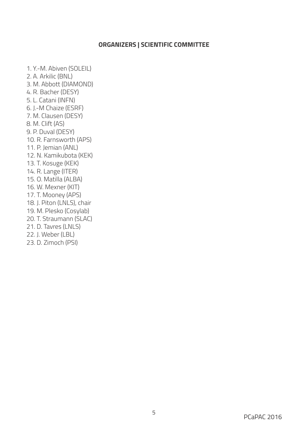#### **ORGANIZERS | SCIENTIFIC COMMITTEE**

1. Y.-M. Abiven (SOLEIL) 2. A. Arkilic (BNL) 3. M. Abbott (DIAMOND) 4. R. Bacher (DESY) 5. L. Catani (INFN) 6. J.-M Chaize (ESRF) 7. M. Clausen (DESY) 8. M. Clift (AS) 9. P. Duval (DESY) 10. R. Farnsworth (APS) 11. P. Jemian (ANL) 12. N. Kamikubota (KEK) 13. T. Kosuge (KEK) 14. R. Lange (ITER) 15. O. Matilla (ALBA) 16. W. Mexner (KIT) 17. T. Mooney (APS) 18. J. Piton (LNLS), chair 19. M. Plesko (Cosylab) 20. T. Straumann (SLAC) 21. D. Tavres (LNLS) 22. J. Weber (LBL) 23. D. Zimoch (PSI)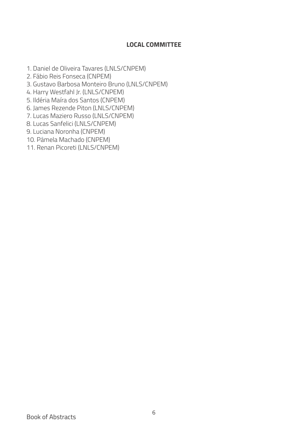#### **LOCAL COMMITTEE**

- 1. Daniel de Oliveira Tavares (LNLS/CNPEM)
- 2. Fábio Reis Fonseca (CNPEM)
- 3. Gustavo Barbosa Monteiro Bruno (LNLS/CNPEM)
- 4. Harry Westfahl Jr. (LNLS/CNPEM)
- 5. Ildéria Maíra dos Santos (CNPEM)
- 6. James Rezende Piton (LNLS/CNPEM)
- 7. Lucas Maziero Russo (LNLS/CNPEM)
- 8. Lucas Sanfelici (LNLS/CNPEM)
- 9. Luciana Noronha (CNPEM)
- 10. Pamela Machado (CNPEM)
- 11. Renan Picoreti (LNLS/CNPEM)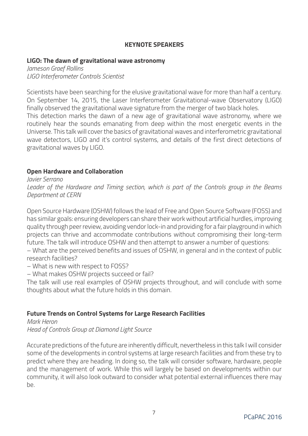#### **KEYNOTE SPEAKERS**

#### **LIGO: The dawn of gravitational wave astronomy**

*Jameson Graef Rollins LIGO Interferometer Controls Scientist*

Scientists have been searching for the elusive gravitational wave for more than half a century. On September 14, 2015, the Laser Interferometer Gravitational-wave Observatory (LIGO) finally observed the gravitational wave signature from the merger of two black holes. This detection marks the dawn of a new age of gravitational wave astronomy, where we routinely hear the sounds emanating from deep within the most energetic events in the Universe. This talk will cover the basics of gravitational waves and interferometric gravitational wave detectors, LIGO and it's control systems, and details of the first direct detections of gravitational waves by LIGO.

#### **Open Hardware and Collaboration**

*Javier Serrano Leader of the Hardware and Timing section, which is part of the Controls group in the Beams Department at CERN*

Open Source Hardware (OSHW) follows the lead of Free and Open Source Software (FOSS) and has similar goals: ensuring developers can share their work without artificial hurdles, improving quality through peer review, avoiding vendor lock-in and providing for a fair playground in which projects can thrive and accommodate contributions without compromising their long-term future. The talk will introduce OSHW and then attempt to answer a number of questions:

– What are the perceived benefits and issues of OSHW, in general and in the context of public research facilities?

– What is new with respect to FOSS?

– What makes OSHW projects succeed or fail?

The talk will use real examples of OSHW projects throughout, and will conclude with some thoughts about what the future holds in this domain.

#### **Future Trends on Control Systems for Large Research Facilities**

*Mark Heron Head of Controls Group at Diamond Light Source*

Accurate predictions of the future are inherently difficult, nevertheless in this talk I will consider some of the developments in control systems at large research facilities and from these try to predict where they are heading. In doing so, the talk will consider software, hardware, people and the management of work. While this will largely be based on developments within our community, it will also look outward to consider what potential external influences there may  $h$  $\rho$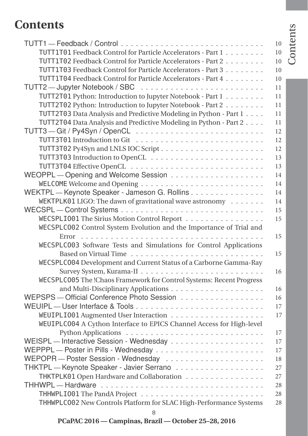## **Contents**

|                                                                      | 10 |
|----------------------------------------------------------------------|----|
| TUTT1T01 Feedback Control for Particle Accelerators - Part 1         | 10 |
| TUTT1T02 Feedback Control for Particle Accelerators - Part 2         | 10 |
| TUTT1T03 Feedback Control for Particle Accelerators - Part 3         | 10 |
| TUTT1T04 Feedback Control for Particle Accelerators - Part 4         | 10 |
|                                                                      | 11 |
| TUTT2T01 Python: Introduction to Jupyter Notebook - Part 1           | 11 |
| TUTT2T02 Python: Introduction to Jupyter Notebook - Part 2           | 11 |
| TUTT2T03 Data Analysis and Predictive Modeling in Python - Part 1    | 11 |
| TUTT2T04 Data Analysis and Predictive Modeling in Python - Part 2    | 11 |
|                                                                      | 12 |
|                                                                      | 12 |
|                                                                      | 12 |
|                                                                      | 13 |
|                                                                      | 13 |
|                                                                      | 14 |
|                                                                      | 14 |
| WEKTPL - Keynote Speaker - Jameson G. Rollins                        | 14 |
| WEKTPLK01 LIGO: The dawn of gravitational wave astronomy             | 14 |
|                                                                      | 15 |
| WECSPLI001 The Sirius Motion Control Report                          | 15 |
| WECSPLC002 Control System Evolution and the Importance of Trial and  |    |
|                                                                      | 15 |
| WECSPLC003 Software Tests and Simulations for Control Applications   |    |
|                                                                      | 15 |
| WECSPLC004 Development and Current Status of a Carborne Gamma-Ray    |    |
|                                                                      | 16 |
| WECSPLC005 The !Chaos Framework for Control Systems: Recent Progress |    |
|                                                                      | 16 |
| WEPSPS - Official Conference Photo Session                           | 16 |
|                                                                      | 17 |
|                                                                      | 17 |
| WEUIPLC004 A Cython Interface to EPICS Channel Access for High-level |    |
|                                                                      | 17 |
|                                                                      | 17 |
|                                                                      | 17 |
|                                                                      | 18 |
| THKTPL - Keynote Speaker - Javier Serrano                            | 27 |
| THKTPLK01 Open Hardware and Collaboration                            | 27 |
| THHWPL-Hardware                                                      | 28 |
|                                                                      | 28 |
| THHWPLC002 New Controls Platform for SLAC High-Performance Systems   | 28 |
| 8                                                                    |    |

Contents

Contents

**PCaPAC 2016 — Campinas, Brazil — October 25–28, 2016**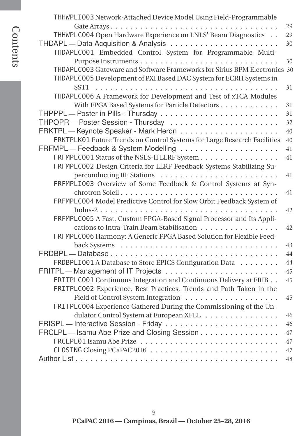|                                                                           | 29 |
|---------------------------------------------------------------------------|----|
| THHWPLC004 Open Hardware Experience on LNLS' Beam Diagnostics             | 29 |
|                                                                           | 30 |
| THDAPLC001 Embedded Control System for Programmable Multi-                |    |
|                                                                           | 30 |
| THDAPLC003 Gateware and Software Frameworks for Sirius BPM Electronics 30 |    |
| THDAPLC005 Development of PXI Based DAC System for ECRH Systems in        |    |
|                                                                           | 31 |
| THDAPLC006 A Framework for Development and Test of xTCA Modules           |    |
| With FPGA Based Systems for Particle Detectors                            | 31 |
|                                                                           | 31 |
|                                                                           | 32 |
|                                                                           | 40 |
| FRKTPLK01 Future Trends on Control Systems for Large Research Facilities  | 40 |
|                                                                           | 41 |
| FRFMPLC001 Status of the NSLS-II LLRF System                              | 41 |
| FRFMPLC002 Design Criteria for LLRF Feedback Systems Stabilizing Su-      |    |
|                                                                           | 41 |
| FRFMPLI003 Overview of Some Feedback & Control Systems at Syn-            |    |
|                                                                           | 41 |
| FRFMPLC004 Model Predictive Control for Slow Orbit Feedback System of     |    |
|                                                                           | 42 |
| FRFMPLC005 A Fast, Custom FPGA-Based Signal Processor and Its Appli-      |    |
| cations to Intra-Train Beam Stabilisation                                 | 42 |
| FRFMPLC006 Harmony: A Generic FPGA Based Solution for Flexible Feed-      |    |
|                                                                           | 43 |
| FRDBPL-Database                                                           | 44 |
| FRDBPLI001 A Database to Store EPICS Configuration Data                   | 44 |
|                                                                           | 45 |
| FRITPLC001 Continuous Integration and Continuous Delivery at FRIB. .      | 45 |
| FRITPLC002 Experience, Best Practices, Trends and Path Taken in the       |    |
|                                                                           | 45 |
| FRITPLC004 Experience Gathered During the Commissioning of the Un-        |    |
| dulator Control System at European XFEL                                   | 46 |
|                                                                           | 46 |
| FRCLPL - Isamu Abe Prize and Closing Session                              | 47 |
|                                                                           | 47 |
|                                                                           | 47 |
|                                                                           | 48 |
|                                                                           |    |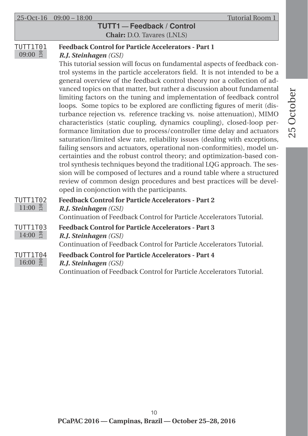### **TUTT1 — Feedback / Control Chair:** D.O. Tavares (LNLS)

#### TUTT1T01  $09:00$  ដឹ **Feedback Control for Particle Accelerators - Part 1**

### *R.J. Steinhagen (GSI)*

This tutorial session will focus on fundamental aspects of feedback control systems in the particle accelerators field. It is not intended to be a general overview of the feedback control theory nor a collection of advanced topics on that matter, but rather a discussion about fundamental limiting factors on the tuning and implementation of feedback control loops. Some topics to be explored are conflicting figures of merit (disturbance rejection vs. reference tracking vs. noise attenuation), MIMO characteristics (static coupling, dynamics coupling), closed-loop performance limitation due to process/controller time delay and actuators saturation/limited slew rate, reliability issues (dealing with exceptions, failing sensors and actuators, operational non-conformities), model uncertainties and the robust control theory; and optimization-based control synthesis techniques beyond the traditional LQG approach. The session will be composed of lectures and a round table where a structured review of common design procedures and best practices will be developed in conjonction with the participants.

| TUTT1T02<br>$\frac{1}{2}$<br>11:00 | <b>Feedback Control for Particle Accelerators - Part 2</b><br><b>R.J. Steinhagen</b> (GSI)<br>Continuation of Feedback Control for Particle Accelerators Tutorial. |
|------------------------------------|--------------------------------------------------------------------------------------------------------------------------------------------------------------------|
| TUTT1T03<br>$14:00$ $\frac{8}{11}$ | <b>Feedback Control for Particle Accelerators - Part 3</b><br><b>R.J. Steinhagen</b> (GSI)<br>Continuation of Feedback Control for Particle Accelerators Tutorial. |
| TUTT1T04<br>$16:00$ $\frac{8}{8}$  | <b>Feedback Control for Particle Accelerators - Part 4</b><br>R.J. Steinhagen (GSI)<br>Continuation of Feedback Control for Particle Accelerators Tutorial.        |

**PCaPAC 2016 — Campinas, Brazil — October 25–28, 2016** 10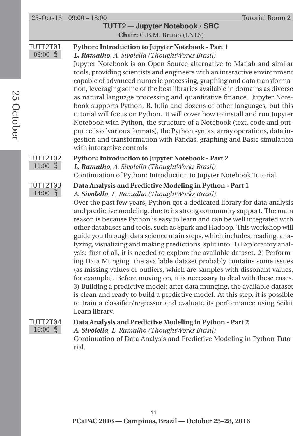|                                | $25-Oct-16$ $09:00-18:00$<br>Tutorial Room 2<br>TUTT2-Jupyter Notebook / SBC<br>Chair: G.B.M. Bruno (LNLS)                                                                                                                                                                                                                                                                                                                                                                                                                                                                                                                                                                                                                                                                                                                                                                                                                                                                                                                                                                                                                                                            |
|--------------------------------|-----------------------------------------------------------------------------------------------------------------------------------------------------------------------------------------------------------------------------------------------------------------------------------------------------------------------------------------------------------------------------------------------------------------------------------------------------------------------------------------------------------------------------------------------------------------------------------------------------------------------------------------------------------------------------------------------------------------------------------------------------------------------------------------------------------------------------------------------------------------------------------------------------------------------------------------------------------------------------------------------------------------------------------------------------------------------------------------------------------------------------------------------------------------------|
| <b>TUTT2T01</b><br>$09:00$ g   | Python: Introduction to Jupyter Notebook - Part 1<br>L. Ramalho, A. Sivolella (ThoughtWorks Brasil)<br>Jupyter Notebook is an Open Source alternative to Matlab and similar<br>tools, providing scientists and engineers with an interactive environment<br>capable of advanced numeric processing, graphing and data transforma-<br>tion, leveraging some of the best libraries available in domains as diverse<br>as natural language processing and quantitative finance. Jupyter Note-<br>book supports Python, R, Julia and dozens of other languages, but this<br>tutorial will focus on Python. It will cover how to install and run Jupyter<br>Notebook with Python, the structure of a Notebook (text, code and out-<br>put cells of various formats), the Python syntax, array operations, data in-<br>gestion and transformation with Pandas, graphing and Basic simulation<br>with interactive controls                                                                                                                                                                                                                                                   |
| TUTT2T02<br>$11:00$ g          | Python: Introduction to Jupyter Notebook - Part 2<br>L. Ramalho, A. Sivolella (ThoughtWorks Brasil)<br>Continuation of Python: Introduction to Jupyter Notebook Tutorial.                                                                                                                                                                                                                                                                                                                                                                                                                                                                                                                                                                                                                                                                                                                                                                                                                                                                                                                                                                                             |
| TUTT2T03<br>$14:00$ g          | Data Analysis and Predictive Modeling in Python - Part 1<br>A. Sivolella, L. Ramalho (ThoughtWorks Brasil)<br>Over the past few years, Python got a dedicated library for data analysis<br>and predictive modeling, due to its strong community support. The main<br>reason is because Python is easy to learn and can be well integrated with<br>other databases and tools, such as Spark and Hadoop. This workshop will<br>guide you through data science main steps, which includes, reading, ana-<br>lyzing, visualizing and making predictions, split into: 1) Exploratory anal-<br>ysis: first of all, it is needed to explore the available dataset. 2) Perform-<br>ing Data Munging: the available dataset probably contains some issues<br>(as missing values or outliers, which are samples with dissonant values,<br>for example). Before moving on, it is necessary to deal with these cases.<br>3) Building a predictive model: after data munging, the available dataset<br>is clean and ready to build a predictive model. At this step, it is possible<br>to train a classifier/regressor and evaluate its performance using Scikit<br>Learn library. |
| TUTT2T04<br>$16:00\frac{8}{8}$ | Data Analysis and Predictive Modeling in Python - Part 2<br>A. Sivolella, L. Ramalho (ThoughtWorks Brasil)<br>Continuation of Data Analysis and Predictive Modeling in Python Tuto-<br>rial.                                                                                                                                                                                                                                                                                                                                                                                                                                                                                                                                                                                                                                                                                                                                                                                                                                                                                                                                                                          |

25 October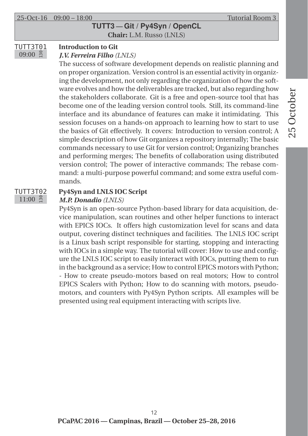### **TUTT3 — Git / Py4Syn / OpenCL Chair:** L.M. Russo (LNLS)

#### TUTT3T01  $09:00$  ដឹ **Introduction to Git**

#### *J.V. Ferreira Filho (LNLS)*

The success of software development depends on realistic planning and on proper organization. Version control is an essential activity in organizing the development, not only regarding the organization of how the software evolves and how the deliverables are tracked, but also regarding how the stakeholders collaborate. Git is a free and open-source tool that has become one of the leading version control tools. Still, its command-line interface and its abundance of features can make it intimidating. This session focuses on a hands-on approach to learning how to start to use the basics of Git effectively. It covers: Introduction to version control; A simple description of how Git organizes a repository internally; The basic commands necessary to use Git for version control; Organizing branches and performing merges; The benefits of collaboration using distributed version control; The power of interactive commands; The rebase command: a multi-purpose powerful command; and some extra useful commands.

#### TUTT3T02  $11:00$  g

## **Py4Syn and LNLS IOC Script**

#### *M.P. Donadio (LNLS)*

Py4Syn is an open-source Python-based library for data acquisition, device manipulation, scan routines and other helper functions to interact with EPICS IOCs. It offers high customization level for scans and data output, covering distinct techniques and facilities. The LNLS IOC script is a Linux bash script responsible for starting, stopping and interacting with IOCs in a simple way. The tutorial will cover: How to use and configure the LNLS IOC script to easily interact with IOCs, putting them to run in the background as a service; How to control EPICS motors with Python; - How to create pseudo-motors based on real motors; How to control EPICS Scalers with Python; How to do scanning with motors, pseudomotors, and counters with Py4Syn Python scripts. All examples will be presented using real equipment interacting with scripts live.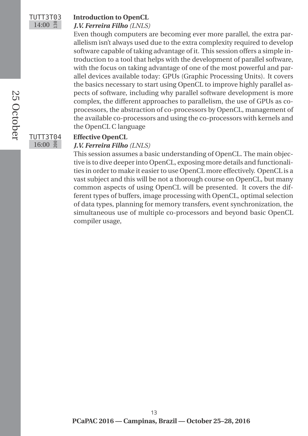### TUTT3T03  $14:00$  g

### **Introduction to OpenCL**

#### *J.V. Ferreira Filho (LNLS)*

Even though computers are becoming ever more parallel, the extra parallelism isn't always used due to the extra complexity required to develop software capable of taking advantage of it. This session offers a simple introduction to a tool that helps with the development of parallel software, with the focus on taking advantage of one of the most powerful and parallel devices available today: GPUs (Graphic Processing Units). It covers the basics necessary to start using OpenCL to improve highly parallel aspects of software, including why parallel software development is more complex, the different approaches to parallelism, the use of GPUs as coprocessors, the abstraction of co-processors by OpenCL, management of the available co-processors and using the co-processors with kernels and the OpenCL C language

### TUTT3T04  $16:00$   $\frac{8}{5}$

#### **Effective OpenCL** *J.V. Ferreira Filho (LNLS)*

This session assumes a basic understanding of OpenCL. The main objective is to dive deeper into OpenCL, exposing more details and functionalities in order to make it easier to use OpenCL more effectively. OpenCL is a vast subject and this will be not a thorough course on OpenCL, but many common aspects of using OpenCL will be presented. It covers the different types of buffers, image processing with OpenCL, optimal selection of data types, planning for memory transfers, event synchronization, the simultaneous use of multiple co-processors and beyond basic OpenCL compiler usage,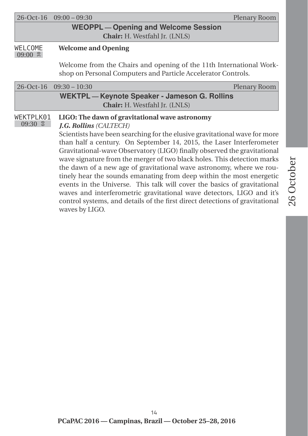| $26-Oct-16$ $09:00-09:30$            | Plenary Room |
|--------------------------------------|--------------|
| WEOPPL - Opening and Welcome Session |              |

**Chair:** H. Westfahl Jr. (LNLS)

#### WELCOME  $09:00$   $\approx$ **Welcome and Opening**

Welcome from the Chairs and opening of the 11th International Workshop on Personal Computers and Particle Accelerator Controls.

|                          | $26-Oct-16$ $09:30-10:30$                                                                                                                                                                                                                                                                                                                                                                                                                                                                                                                                                                                                                                                                                                                                                                           | Plenary Room |  |  |  |
|--------------------------|-----------------------------------------------------------------------------------------------------------------------------------------------------------------------------------------------------------------------------------------------------------------------------------------------------------------------------------------------------------------------------------------------------------------------------------------------------------------------------------------------------------------------------------------------------------------------------------------------------------------------------------------------------------------------------------------------------------------------------------------------------------------------------------------------------|--------------|--|--|--|
|                          | WEKTPL - Keynote Speaker - Jameson G. Rollins<br><b>Chair:</b> H. Westfahl Jr. (LNLS)                                                                                                                                                                                                                                                                                                                                                                                                                                                                                                                                                                                                                                                                                                               |              |  |  |  |
| WEKTPLK01<br>$09:30$ $8$ | LIGO: The dawn of gravitational wave astronomy<br><b>J.G. Rollins (CALTECH)</b><br>Scientists have been searching for the elusive gravitational wave for more<br>than half a century. On September 14, 2015, the Laser Interferometer<br>Gravitational-wave Observatory (LIGO) finally observed the gravitational<br>wave signature from the merger of two black holes. This detection marks<br>the dawn of a new age of gravitational wave astronomy, where we rou-<br>tinely hear the sounds emanating from deep within the most energetic<br>events in the Universe. This talk will cover the basics of gravitational<br>waves and interferometric gravitational wave detectors, LIGO and it's<br>control systems, and details of the first direct detections of gravitational<br>waves by LIGO. |              |  |  |  |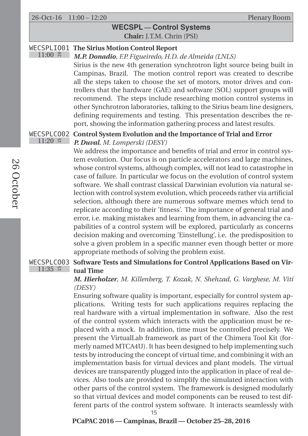$11:00$   $\approx$ 

#### **WECSPL — Control Systems Chair:** J.T.M. Chrin (PSI)

#### WECSPLIO01 **The Sirius Motion Control Report**

*M.P. Donadio, F.P. Figueiredo, H.D. de Almeida (LNLS)* Sirius is the new 4th generation synchrotron light source being built in Campinas, Brazil. The motion control report was created to describe all the steps taken to choose the set of motors, motor drives and controllers that the hardware (GAE) and software (SOL) support groups will recommend. The steps include researching motion control systems in other Synchrotron laboratories, talking to the Sirius beam line designers, defining requirements and testing. This presentation describes the report, showing the information gathering process and latest results.

#### WECSPLCO02 **Control System Evolution and the Importance of Trial and Error**  $11:20$  # *P. Duval, M. Lomperski (DESY)*

We address the importance and benefits of trial and error in control system evolution. Our focus is on particle accelerators and large machines, whose control systems, although complex, will not lead to catastrophe in case of failure. In particular we focus on the evolution of control system software. We shall contrast classical Darwinian evolution via natural selection with control system evolution, which proceeds rather via artificial selection, although there are numerous software memes which tend to replicate according to their 'fitness'. The importance of general trial and error, i.e. making mistakes and learning from them, in advancing the capabilities of a control system will be explored, particularly as concerns decision making and overcoming 'Einstellung', i.e. the predisposition to solve a given problem in a specific manner even though better or more appropriate methods of solving the problem exist.

#### WECSPLCO03 **Software Tests and Simulations for Control Applications Based on Vir-** $11:35$  # **tual Time**

#### *M. Hierholzer, M. Killenberg, T. Kozak, N. Shehzad, G. Varghese, M. Viti (DESY)*

Ensuring software quality is important, especially for control system applications. Writing tests for such applications requires replacing the real hardware with a virtual implementation in software. Also the rest of the control system which interacts with the application must be replaced with a mock. In addition, time must be controlled precisely. We present the VirtualLab framework as part of the Chimera Tool Kit (formerly named MTCA4U). It has been designed to help implementing such tests by introducing the concept of virtual time, and combining it with an implementation basis for virtual devices and plant models. The virtual devices are transparently plugged into the application in place of real devices. Also tools are provided to simplify the simulated interaction with other parts of the control system. The framework is designed modularly so that virtual devices and model components can be reused to test different parts of the control system software. It interacts seamlessly with

15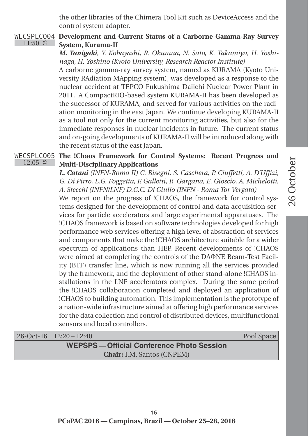the other libraries of the Chimera Tool Kit such as DeviceAccess and the control system adapter.

#### WECSPLCO04 **Development and Current Status of a Carborne Gamma-Ray Survey**  $11:50$  # **System, Kurama-II**

*M. Tanigaki, Y. Kobayashi, R. Okumua, N. Sato, K. Takamiya, H. Yoshinaga, H. Yoshino (Kyoto University, Research Reactor Institute)*

A carborne gamma-ray survey system, named as KURAMA (Kyoto University RAdiation MApping system), was developed as a response to the nuclear accident at TEPCO Fukushima Daiichi Nuclear Power Plant in 2011. A CompactRIO-based system KURAMA-II has been developed as the successor of KURAMA, and served for various activities on the radiation monitoring in the east Japan. We continue developing KURAMA-II as a tool not only for the current monitoring activities, but also for the immediate responses in nuclear incidents in future. The current status and on-going developments of KURAMA-II will be introduced along with the recent status of the east Japan.

#### WECSPLCO05 **The !Chaos Framework for Control Systems: Recent Progress and**  $12:05$  # **Multi-Disciplinary Applications**

*L. Catani (INFN-Roma II) C. Bisegni, S. Caschera, P. Ciuffetti, A. D'Uffizi, G. Di Pirro, L.G. Foggetta, F. Galletti, R. Gargana, E. Gioscio, A. Michelotti, A. Stecchi (INFN/LNF) D.G.C. Di Giulio (INFN - Roma Tor Vergata)*

We report on the progress of !CHAOS, the framework for control systems designed for the development of control and data acquisition services for particle accelerators and large experimental apparatuses. The !CHAOS framework is based on software technologies developed for high performance web services offering a high level of abstraction of services and components that make the !CHAOS architecture suitable for a wider spectrum of applications than HEP. Recent developments of !CHAOS were aimed at completing the controls of the DAΦNE Beam-Test Facility (BTF) transfer line, which is now running all the services provided by the framework, and the deployment of other stand-alone !CHAOS installations in the LNF accelerators complex. During the same period the !CHAOS collaboration completed and deployed an application of !CHAOS to building automation. This implementation is the prototype of a nation-wide infrastructure aimed at offering high performance services for the data collection and control of distributed devices, multifunctional sensors and local controllers.

|  | $26-Oct-16$ $12:20-12:40$ | Pool Space |
|--|---------------------------|------------|
|  |                           |            |

### **WEPSPS — Official Conference Photo Session Chair:** I.M. Santos (CNPEM)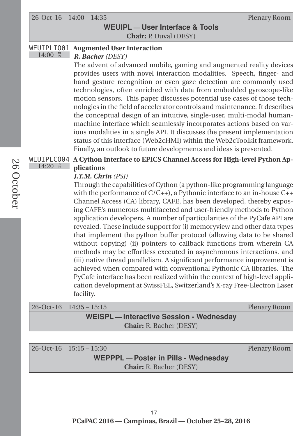26-Oct-16 14:00 – 14:35 Plenary Room

**WEUIPL — User Interface & Tools Chair:** P. Duval (DESY)

#### WEUIPLIO01 **Augmented User Interaction**

 $14:00$   $\approx$ 

### *R. Bacher (DESY)*

The advent of advanced mobile, gaming and augmented reality devices provides users with novel interaction modalities. Speech, finger- and hand gesture recognition or even gaze detection are commonly used technologies, often enriched with data from embedded gyroscope-like motion sensors. This paper discusses potential use cases of those technologies in the field of accelerator controls and maintenance. It describes the conceptual design of an intuitive, single-user, multi-modal humanmachine interface which seamlessly incorporates actions based on various modalities in a single API. It discusses the present implementation status of this interface (Web2cHMI) within the Web2cToolkit framework. Finally, an outlook to future developments and ideas is presented.

#### WEUIPLCO04 **A Cython Interface to EPICS Channel Access for High-level Python Ap-** $14:20$  ∺ **plications**

#### *J.T.M. Chrin (PSI)*

Through the capabilities of Cython (a python-like programming language with the performance of C/C++), a Pythonic interface to an in-house C++ Channel Access (CA) library, CAFE, has been developed, thereby exposing CAFE's numerous multifaceted and user-friendly methods to Python application developers. A number of particularities of the PyCafe API are revealed. These include support for (i) memoryview and other data types that implement the python buffer protocol (allowing data to be shared without copying) (ii) pointers to callback functions from wherein CA methods may be effortless executed in asynchronous interactions, and (iii) native thread parallelism. A significant performance improvement is achieved when compared with conventional Pythonic CA libraries. The PyCafe interface has been realized within the context of high-level application development at SwissFEL, Switzerland's X-ray Free-Electron Laser facility.

|                                                 | $26-Oct-16$ $14:35-15:15$      | Plenary Room |
|-------------------------------------------------|--------------------------------|--------------|
| <b>WEISPL</b> - Interactive Session - Wednesday |                                |              |
|                                                 | <b>Chair:</b> R. Bacher (DESY) |              |

|                                | $26-Oct-16$ $15:15-15:30$            | Plenary Room |
|--------------------------------|--------------------------------------|--------------|
|                                | WEPPPL - Poster in Pills - Wednesday |              |
| <b>Chair:</b> R. Bacher (DESY) |                                      |              |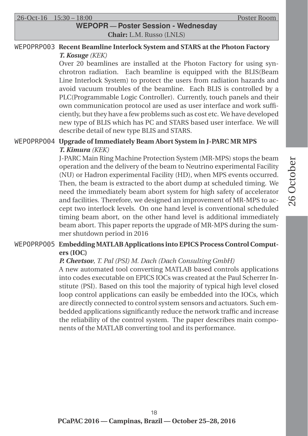26-Oct-16 15:30 – 18:00 Poster Room

### **WEPOPR — Poster Session - Wednesday Chair:** L.M. Russo (LNLS)

#### WEPOPRPO03 **Recent Beamline Interlock System and STARS at the Photon Factory** *T. Kosuge (KEK)*

Over 20 beamlines are installed at the Photon Factory for using synchrotron radiation. Each beamline is equipped with the BLIS(Beam Line Interlock System) to protect the users from radiation hazards and avoid vacuum troubles of the beamline. Each BLIS is controlled by a PLC(Programmable Logic Controller). Currently, touch panels and their own communication protocol are used as user interface and work sufficiently, but they have a few problems such as cost etc. We have developed new type of BLIS which has PC and STARS based user interface. We will describe detail of new type BLIS and STARS.

#### WEPOPRPO04 **Upgrade of Immediately Beam Abort System in J-PARC MR MPS** *T. Kimura (KEK)*

J-PARC Main Ring Machine Protection System (MR-MPS) stops the beam operation and the delivery of the beam to Neutrino experimental Facility (NU) or Hadron experimental Facility (HD), when MPS events occurred. Then, the beam is extracted to the abort dump at scheduled timing. We need the immediately beam abort system for high safety of accelerator and facilities. Therefore, we designed an improvement of MR-MPS to accept two interlock levels. On one hand level is conventional scheduled timing beam abort, on the other hand level is additional immediately beam abort. This paper reports the upgrade of MR-MPS during the summer shutdown period in 2016

#### WEPOPRPO05 **Embedding MATLAB Applications into EPICS Process Control Computers (IOC)**

#### *P. Chevtsov, T. Pal (PSI) M. Dach (Dach Consulting GmbH)*

A new automated tool converting MATLAB based controls applications into codes executable on EPICS IOCs was created at the Paul Scherrer Institute (PSI). Based on this tool the majority of typical high level closed loop control applications can easily be embedded into the IOCs, which are directly connected to control system sensors and actuators. Such embedded applications significantly reduce the network traffic and increase the reliability of the control system. The paper describes main components of the MATLAB converting tool and its performance.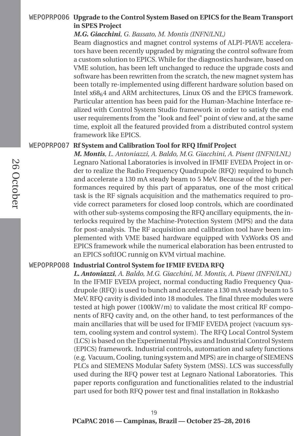#### WEPOPRPO06 **Upgrade to the Control System Based on EPICS for the Beam Transport in SPES Project**

#### *M.G. Giacchini, G. Bassato, M. Montis (INFN/LNL)*

Beam diagnostics and magnet control systems of ALPI-PIAVE accelerators have been recently upgraded by migrating the control software from a custom solution to EPICS. While for the diagnostics hardware, based on VME solution, has been left unchanged to reduce the upgrade costs and software has been rewritten from the scratch, the new magnet system has been totally re-implemented using different hardware solution based on Intel x6864 and ARM architectures, Linux OS and the EPICS framework. Particular attention has been paid for the Human-Machine Interface realized with Control System Studio framework in order to satisfy the end user requirements from the "look and feel" point of view and, at the same time, exploit all the featured provided from a distributed control system framework like EPICS.

#### WEPOPRPO07 **Rf System and Calibration Tool for RFQ Ifmif Project**

*M. Montis, L. Antoniazzi, A. Baldo, M.G. Giacchini, A. Pisent (INFN/LNL)* Legnaro National Laboratories is involved in IFMIF EVEDA Project in order to realize the Radio Frequency Quadrupole (RFQ) required to bunch and accelerate a 130 mA steady beam to 5 MeV. Because of the high performances required by this part of apparatus, one of the most critical task is the RF signals acquisition and the mathematics required to provide correct parameters for closed loop controls, which are coordinated with other sub-systems composing the RFQ ancillary equipments, the interlocks required by the Machine-Protection System (MPS) and the data for post-analysis. The RF acquisition and calibration tool have been implemented with VME based hardware equipped with VxWorks OS and EPICS framework while the numerical elaboration has been entrusted to an EPICS softIOC runnig on KVM virtual machine.

#### WEPOPRPO08 **Industrial Control System for IFMIF EVEDA RFQ**

*L. Antoniazzi, A. Baldo, M.G. Giacchini, M. Montis, A. Pisent (INFN/LNL)* In the IFMIF EVEDA project, normal conducting Radio Frequency Quadrupole (RFQ) is used to bunch and accelerate a 130 mA steady beam to 5 MeV. RFQ cavity is divided into 18 modules. The final three modules were tested at high power (100kW/m) to validate the most critical RF components of RFQ cavity and, on the other hand, to test performances of the main ancillaries that will be used for IFMIF EVEDA project (vacuum system, cooling system and control system). The RFQ Local Control System (LCS) is based on the Experimental Physics and Industrial Control System (EPICS) framework. Industrial controls, automation and safety functions (e.g. Vacuum, Cooling, tuning system and MPS) are in charge of SIEMENS PLCs and SIEMENS Modular Safety System (MSS). LCS was successfully used during the RFQ power test at Legnaro National Laboratories. This paper reports configuration and functionalities related to the industrial part used for both RFQ power test and final installation in Rokkasho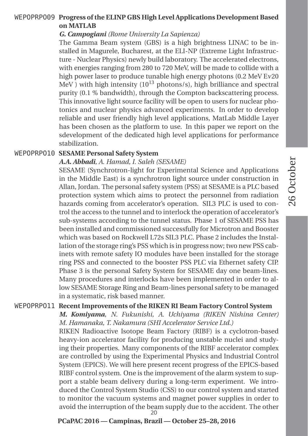#### WEPOPRPO09 **Progress of the ELINP GBS High Level Applications Development Based on MATLAB**

#### *G. Campogiani (Rome University La Sapienza)*

The Gamma Beam system (GBS) is a high brightness LINAC to be installed in Magurele, Bucharest, at the ELI-NP (Extreme Light Infrastructure - Nuclear Physics) newly build laboratory. The accelerated electrons, with energies ranging from 280 to 720 MeV, will be made to collide with a high power laser to produce tunable high energy photons (0.2 MeV E*ν*20  $MeV$ ) with high intensity (10<sup>13</sup> photons/s), high brilliance and spectral purity (0.1 % bandwidth), through the Compton backscattering process. This innovative light source facility will be open to users for nuclear photonics and nuclear physics advanced experiments. In order to develop reliable and user friendly high level applications, MatLab Middle Layer has been chosen as the platform to use. In this paper we report on the sdevelopment of the dedicated high level applications for performance stabilization.

#### WEPOPRPO10 **SESAME Personal Safety System**

#### *A.A. Abbadi, A. Hamad, I. Saleh (SESAME)*

SESAME (Synchrotron-light for Experimental Science and Applications in the Middle East) is a synchrotron light source under construction in Allan, Jordan. The personal safety system (PSS) at SESAME is a PLC based protection system which aims to protect the personnel from radiation hazards coming from accelerator's operation. SIL3 PLC is used to control the access to the tunnel and to interlock the operation of accelerator's sub-systems according to the tunnel status. Phase 1 of SESAME PSS has been installed and commissioned successfully for Microtron and Booster which was based on Rockwell L72s SIL3 PLC. Phase 2 includes the Installation of the storage ring's PSS which is in progress now; two new PSS cabinets with remote safety IO modules have been installed for the storage ring PSS and connected to the booster PSS PLC via Ethernet safety CIP. Phase 3 is the personal Safety System for SESAME day one beam-lines. Many procedures and interlocks have been implemented in order to allow SESAME Storage Ring and Beam-lines personal safety to be managed in a systematic, risk based manner.

#### WEPOPRPO11 **Recent Improvements of the RIKEN RI Beam Factory Control System**

*M. Komiyama, N. Fukunishi, A. Uchiyama (RIKEN Nishina Center) M. Hamanaka, T. Nakamura (SHI Accelerator Service Ltd.)*

RIKEN Radioactive Isotope Beam Factory (RIBF) is a cyclotron-based heavy-ion accelerator facility for producing unstable nuclei and studying their properties. Many components of the RIBF accelerator complex are controlled by using the Experimental Physics and Industrial Control System (EPICS). We will here present recent progress of the EPICS-based RIBF control system. One is the improvement of the alarm system to support a stable beam delivery during a long-term experiment. We introduced the Control System Studio (CSS) to our control system and started to monitor the vacuum systems and magnet power supplies in order to avoid the interruption of the beam supply due to the accident. The other 20

#### **PCaPAC 2016 — Campinas, Brazil — October 25–28, 2016**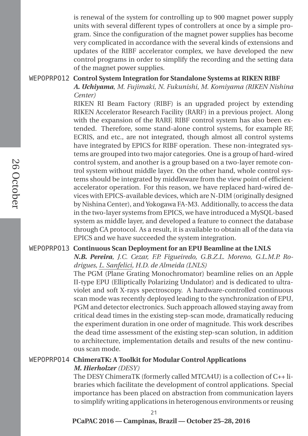is renewal of the system for controlling up to 900 magnet power supply units with several different types of controllers at once by a simple program. Since the configuration of the magnet power supplies has become very complicated in accordance with the several kinds of extensions and updates of the RIBF accelerator complex, we have developed the new control programs in order to simplify the recording and the setting data of the magnet power supplies.

#### WEPOPRPO12 **Control System Integration for Standalone Systems at RIKEN RIBF**

*A. Uchiyama, M. Fujimaki, N. Fukunishi, M. Komiyama (RIKEN Nishina Center)*

RIKEN RI Beam Factory (RIBF) is an upgraded project by extending RIKEN Accelerator Research Facility (RARF) in a previous project. Along with the expansion of the RARF, RIBF control system has also been extended. Therefore, some stand-alone control systems, for example RF, ECRIS, and etc., are not integrated, though almost all control systems have integrated by EPICS for RIBF operation. These non-integrated systems are grouped into two major categories. One is a group of hard-wired control system, and another is a group based on a two-layer remote control system without middle layer. On the other hand, whole control systems should be integrated by middleware from the view point of efficient accelerator operation. For this reason, we have replaced hard-wired devices with EPICS-available devices, which are N-DIM (originally designed by Nishina Center), and Yokogawa FA-M3. Additionally, to access the data in the two-layer systems from EPICS, we have introduced a MySQL-based system as middle layer, and developed a feature to connect the database through CA protocol. As a result, it is available to obtain all of the data via EPICS and we have succeeded the system integration.

#### WEPOPRPO13 **Continuous Scan Deployment for an EPU Beamline at the LNLS**

*N.B. Pereira, J.C. Cezar, F.P. Figueiredo, G.B.Z.L. Moreno, G.L.M.P. Rodrigues, L. Sanfelici, H.D. de Almeida (LNLS)*

The PGM (Plane Grating Monochromator) beamline relies on an Apple II-type EPU (Elliptically Polarizing Undulator) and is dedicated to ultraviolet and soft X-rays spectroscopy. A hardware-controlled continuous scan mode was recently deployed leading to the synchronization of EPU, PGM and detector electronics. Such approach allowed staying away from critical dead times in the existing step-scan mode, dramatically reducing the experiment duration in one order of magnitude. This work describes the dead time assessment of the existing step-scan solution, in addition to architecture, implementation details and results of the new continuous scan mode.

#### WEPOPRPO14 **ChimeraTK: A Toolkit for Modular Control Applications**

#### *M. Hierholzer (DESY)*

The DESY ChimeraTK (formerly called MTCA4U) is a collection of C++ libraries which facilitate the development of control applications. Special importance has been placed on abstraction from communication layers to simplify writing applications in heterogenous environments or reusing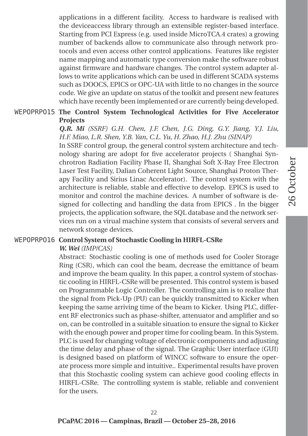applications in a different facility. Access to hardware is realised with the deviceaccess library through an extensible register-based interface. Starting from PCI Express (e.g. used inside MicroTCA.4 crates) a growing number of backends allow to communicate also through network protocols and even access other control applications. Features like register name mapping and automatic type conversion make the software robust against firmware and hardware changes. The control system adapter allows to write applications which can be used in different SCADA systems such as DOOCS, EPICS or OPC-UA with little to no changes in the source code. We give an update on status of the toolkit and present new features which have recently been implemented or are currently being developed.

#### WEPOPRPO15 **The Control System Technological Activities for Five Accelerator Projects**

*Q.R. Mi (SSRF) G.H. Chen, J.F. Chen, J.G. Ding, G.Y. Jiang, Y.J. Liu, H.F. Miao, L.R. Shen, Y.B. Yan, C.L. Yu, H. Zhao, H.J. Zhu (SINAP)* In SSRF control group, the general control system architecture and technology sharing are adopt for five accelerator projects ( Shanghai Synchrotron Radiation Facility Phase II, Shanghai Soft X-Ray Free Electron Laser Test Facility, Dalian Coherent Light Source, Shanghai Proton Therapy Facility and Sirius Linac Accelerator). The control system with the architecture is reliable, stable and effective to develop. EPICS is used to monitor and control the machine devices. A number of software is designed for collecting and handling the data from EPICS . In the bigger projects, the application software, the SQL database and the network services run on a virual machine system that consists of several servers and network storage devices.

#### WEPOPRPO16 **Control System of Stochastic Cooling in HIRFL-CSRe**

#### *W. Wei (IMP/CAS)*

Abstract: Stochastic cooling is one of methods used for Cooler Storage Ring (CSR), which can cool the beam, decrease the emittance of beam and improve the beam quality. In this paper, a control system of stochastic cooling in HIRFL-CSRe will be presented. This control system is based on Programmable Logic Controller. The controlling aim is to realize that the signal from Pick-Up (PU) can be quickly transmitted to Kicker when keeping the same arriving time of the beam to Kicker. Using PLC, different RF electronics such as phase-shifter, attenuator and amplifier and so on, can be controlled in a suitable situation to ensure the signal to Kicker with the enough power and proper time for cooling beam. In this System. PLC is used for changing voltage of electronic components and adjusting the time delay and phase of the signal. The Graphic User interface (GUI) is designed based on platform of WINCC software to ensure the operate process more simple and intuitive.. Experimental results have proven that this Stochastic cooling system can achieve good cooling effects in HIRFL-CSRe. The controlling system is stable, reliable and convenient for the users.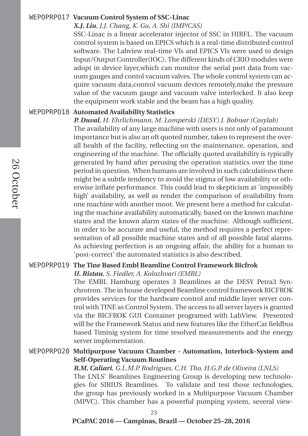#### WEPOPRPO17 **Vacuum Control System of SSC-Linac**

#### *X.J. Liu, J.J. Chang, K. Gu, A. Shi (IMP/CAS)*

SSC-Linac is a linear accelerator injector of SSC in HIRFL. The vacuum control system is based on EPICS which is a real-time distributed control software. The Labview real-time VIs and EPICS VIs were used to design Input/Output Controller(IOC). The different kinds of CRIO modules were adopt in device layer,which can monitor the serial port data from vacuum gauges and contol vacuum valves. The whole control system can acquire vacuum data,control vacuum devices remotely,make the pressure value of the vacuum gauge and vacuum valve interlocked. It also keep the equipment work stable and the beam has a high quality.

#### WEPOPRPO18 **Automated Availability Statistics**

*P. Duval, H. Ehrlichmann, M. Lomperski (DESY) J. Bobnar (Cosylab)* The availability of any large machine with users is not only of paramount importance but is also an oft quoted number, taken to represent the overall health of the facility, reflecting on the maintenance, operation, and engineering of the machine. The officially quoted availability is typically generated by hand after perusing the operation statistics over the time period in question. When humans are involved in such calculations there might be a subtle tendency to avoid the stigma of low availability or otherwise inflate performance. This could lead to skepticism at 'impossibly high' availability, as well as render the comparison of availability from one machine with another moot. We present here a method for calculating the machine availability automatically, based on the known machine states and the known alarm states of the machine. Although sufficient, in order to be accurate and useful, the method requires a perfect representation of all possible machine states and of all possible fatal alarms. As achieving perfection is an ongoing affair, the ability for a human to 'post-correct' the automated statistics is also described.

#### WEPOPRPO19 **The Tine Based Embl Beamline Control Framework Bicfrok**

*U. Ristau, S. Fiedler, A. Kolozhvari (EMBL)*

The EMBL Hamburg operates 3 Beamlines at the DESY Petra3 Synchrotron. The in house developed Beamline control framework BICFROK provides services for the hardware control and middle layer server control with TINE as Control System. The access to all server layers is granted via the BICFROK GUI Container programed with LabView. Presented will be the Framework Status and new features like the EtherCat fieldbus based Timinig system for time resolved measurements and the energy server implementation.

#### WEPOPRPO20 **Multipurpose Vacuum Chamber - Automation, Interlock-System and Self-Operating Vacuum Routines**

*R.M. Caliari, G.L.M.P. Rodrigues, C.H. Tho, H.G.P. de Oliveira (LNLS)*

The LNLS' Beamlines Engineering Group is developing new technologies for SIRIUS Beamlines. To validate and test those technologies, the group has previously worked in a Multipurpose Vacuum Chamber (MPVC). This chamber has a powerful pumping system, several view-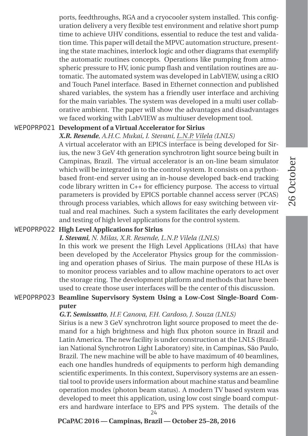26 October

26 October

ports, feedthroughs, RGA and a cryocooler system installed. This configuration delivery a very flexible test environment and relative short pump time to achieve UHV conditions, essential to reduce the test and validation time. This paper will detail the MPVC automation structure, presenting the state machines, interlock logic and other diagrams that exemplify the automatic routines concepts. Operations like pumping from atmospheric pressure to HV, ionic pump flash and ventilation routines are automatic. The automated system was developed in LabVIEW, using a cRIO and Touch Panel interface. Based in Ethernet connection and published shared variables, the system has a friendly user interface and archiving for the main variables. The system was developed in a multi user collaborative ambient. The paper will show the advantages and disadvantages we faced working with LabVIEW as multiuser development tool.

#### WEPOPRPO21 **Development of a Virtual Accelerator for Sirius**

#### *X.R. Resende, A.H.C. Mukai, I. Stevani, L.N.P. Vilela (LNLS)*

A virtual accelerator with an EPICS interface is being developed for Sirius, the new 3 GeV 4th generation synchrotron light source being built in Campinas, Brazil. The virtual accelerator is an on-line beam simulator which will be integrated in to the control system. It consists on a pythonbased front-end server using an in-house developed back-end tracking code library written in C++ for efficiency purpose. The access to virtual parameters is provided by EPICS portable channel access server (PCAS) through process variables, which allows for easy switching between virtual and real machines. Such a system facilitates the early development and testing of high level applications for the control system.

#### WEPOPRPO22 **High Level Applications for Sirius**

#### *I. Stevani, N. Milas, X.R. Resende, L.N.P. Vilela (LNLS)*

In this work we present the High Level Applications (HLAs) that have been developed by the Accelerator Physics group for the commissioning and operation phases of Sirius. The main purpose of these HLAs is to monitor process variables and to allow machine operators to act over the storage ring. The development platform and methods that have been used to create those user interfaces will be the center of this discussion.

#### WEPOPRPO23 **Beamline Supervisory System Using a Low-Cost Single-Board Computer**

#### *G.T. Semissatto, H.F. Canova, F.H. Cardoso, J. Souza (LNLS)*

Sirius is a new 3 GeV synchrotron light source proposed to meet the demand for a high brightness and high flux photon source in Brazil and Latin America. The new facility is under construction at the LNLS (Brazilian National Synchrotron Light Laboratory) site, in Campinas, São Paulo, Brazil. The new machine will be able to have maximum of 40 beamlines, each one handles hundreds of equipments to perform high demanding scientific experiments. In this context, Supervisory systems are an essential tool to provide users information about machine status and beamline operation modes (photon beam status). A modern TV based system was developed to meet this application, using low cost single board computers and hardware interface to EPS and PPS system. The details of the 24

#### **PCaPAC 2016 — Campinas, Brazil — October 25–28, 2016**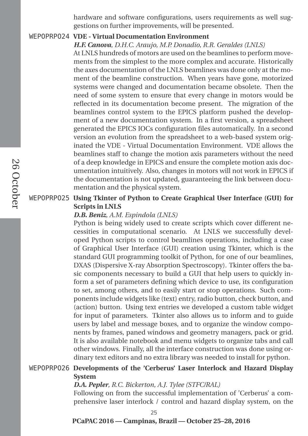hardware and software configurations, users requirements as well suggestions on further improvements, will be presented.

#### WEPOPRPO24 **VDE - Virtual Documentation Environment**

*H.F. Canova, D.H.C. Araujo, M.P. Donadio, R.R. Geraldes (LNLS)*

At LNLS hundreds of motors are used on the beamlines to perform movements from the simplest to the more complex and accurate. Historically the axes documentation of the LNLS beamlines was done only at the moment of the beamline construction. When years have gone, motorized systems were changed and documentation became obsolete. Then the need of some system to ensure that every change in motors would be reflected in its documentation become present. The migration of the beamlines control system to the EPICS platform pushed the development of a new documentation system. In a first version, a spreadsheet generated the EPICS IOCs configuration files automatically. In a second version an evolution from the spreadsheet to a web-based system originated the VDE - Virtual Documentation Environment. VDE allows the beamlines staff to change the motion axis parameters without the need of a deep knowledge in EPICS and ensure the complete motion axis documentation intuitively. Also, changes in motors will not work in EPICS if the documentation is not updated, guaranteeing the link between documentation and the physical system.

#### WEPOPRPO25 **Using Tkinter of Python to Create Graphical User Interface (GUI) for Scripts in LNLS**

#### *D.B. Beniz, A.M. Espindola (LNLS)*

Python is being widely used to create scripts which cover different necessities in computational scenario. At LNLS we successfully developed Python scripts to control beamlines operations, including a case of Graphical User Interface (GUI) creation using Tkinter, which is the standard GUI programming toolkit of Python, for one of our beamlines, DXAS (Dispersive X-ray Absorption Spectroscopy). Tkinter offers the basic components necessary to build a GUI that help users to quickly inform a set of parameters defining which device to use, its configuration to set, among others, and to easily start or stop operations. Such components include widgets like (text) entry, radio button, check button, and (action) button. Using text entries we developed a custom table widget for input of parameters. Tkinter also allows us to inform and to guide users by label and message boxes, and to organize the window components by frames, paned windows and geometry managers, pack or grid. It is also available notebook and menu widgets to organize tabs and call other windows. Finally, all the interface construction was done using ordinary text editors and no extra library was needed to install for python.

### WEPOPRPO26 **Developments of the 'Cerberus' Laser Interlock and Hazard Display System**

#### *D.A. Pepler, R.C. Bickerton, A.J. Tylee (STFC/RAL)*

Following on from the successful implementation of 'Cerberus' a comprehensive laser interlock / control and hazard display system, on the

25

#### **PCaPAC 2016 — Campinas, Brazil — October 25–28, 2016**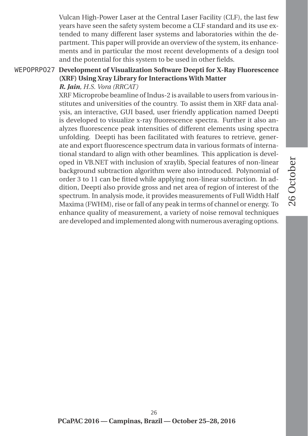26 October 26 October

Vulcan High-Power Laser at the Central Laser Facility (CLF), the last few years have seen the safety system become a CLF standard and its use extended to many different laser systems and laboratories within the department. This paper will provide an overview of the system, its enhancements and in particular the most recent developments of a design tool and the potential for this system to be used in other fields.

#### WEPOPRPO27 **Development of Visualization Software Deepti for X-Ray Fluorescence (XRF) Using Xray Library for Interactions With Matter** *R. Jain, H.S. Vora (RRCAT)*

XRF Microprobe beamline of Indus-2 is available to users from various institutes and universities of the country. To assist them in XRF data analysis, an interactive, GUI based, user friendly application named Deepti is developed to visualize x-ray fluorescence spectra. Further it also analyzes fluorescence peak intensities of different elements using spectra unfolding. Deepti has been facilitated with features to retrieve, generate and export fluorescence spectrum data in various formats of international standard to align with other beamlines. This application is developed in VB.NET with inclusion of xraylib, Special features of non-linear background subtraction algorithm were also introduced. Polynomial of order 3 to 11 can be fitted while applying non-linear subtraction. In addition, Deepti also provide gross and net area of region of interest of the spectrum. In analysis mode, it provides measurements of Full Width Half Maxima (FWHM), rise or fall of any peak in terms of channel or energy. To enhance quality of measurement, a variety of noise removal techniques are developed and implemented along with numerous averaging options.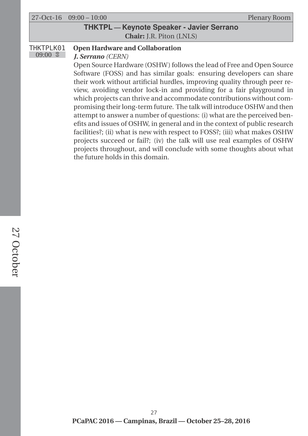|           | $27-Oct-16$ $09:00-10:00$                                                 | Plenary Room |  |  |
|-----------|---------------------------------------------------------------------------|--------------|--|--|
|           | <b>THKTPL</b> - Keynote Speaker - Javier Serrano                          |              |  |  |
|           | <b>Chair:</b> J.R. Piton (LNLS)                                           |              |  |  |
| THKTPLK01 | <b>Open Hardware and Collaboration</b>                                    |              |  |  |
| $09:00$ 8 | J. Serrano (CERN)                                                         |              |  |  |
|           | Open Source Hardware (OSHW) follows the lead of Free and Open Source      |              |  |  |
|           | Software (FOSS) and has similar goals: ensuring developers can share      |              |  |  |
|           | their work without artificial hurdles, improving quality through peer re- |              |  |  |
|           | view, avoiding vendor lock-in and providing for a fair playground in      |              |  |  |

the future holds in this domain.

which projects can thrive and accommodate contributions without compromising their long-term future. The talk will introduce OSHW and then attempt to answer a number of questions: (i) what are the perceived benefits and issues of OSHW, in general and in the context of public research facilities?; (ii) what is new with respect to FOSS?; (iii) what makes OSHW projects succeed or fail?; (iv) the talk will use real examples of OSHW projects throughout, and will conclude with some thoughts about what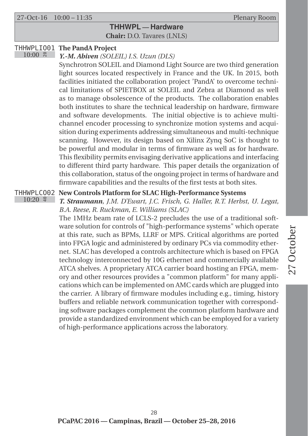27-Oct-16 10:00 – 11:35 Plenary Room

 $10:20$   $\approx$ 

### **THHWPL — Hardware Chair:** D.O. Tavares (LNLS)

#### THHWPLIO01 **The PandA Project**  $10:00$   $\approx$

*Y.-M. Abiven (SOLEIL) I.S. Uzun (DLS)*

Synchrotron SOLEIL and Diamond Light Source are two third generation light sources located respectively in France and the UK. In 2015, both facilities initiated the collaboration project 'PandA' to overcome technical limitations of SPIETBOX at SOLEIL and Zebra at Diamond as well as to manage obsolescence of the products. The collaboration enables both institutes to share the technical leadership on hardware, firmware and software developments. The initial objective is to achieve multichannel encoder processing to synchronize motion systems and acquisition during experiments addressing simultaneous and multi-technique scanning. However, its design based on Xilinx Zynq SoC is thought to be powerful and modular in terms of firmware as well as for hardware. This flexibility permits envisaging derivative applications and interfacing to different third party hardware. This paper details the organization of this collaboration, status of the ongoing project in terms of hardware and firmware capabilities and the results of the first tests at both sites.

#### THHWPLCO02 **New Controls Platform for SLAC High-Performance Systems**

*T. Straumann, J.M. D'Ewart, J.C. Frisch, G. Haller, R.T. Herbst, U. Legat, B.A. Reese, R. Ruckman, E. Williams (SLAC)*

The 1MHz beam rate of LCLS-2 precludes the use of a traditional software solution for controls of "high-performance systems" which operate at this rate, such as BPMs, LLRF or MPS. Critical algorithms are ported into FPGA logic and administered by ordinary PCs via commodity ethernet. SLAC has developed a controls architecture which is based on FPGA technology interconnected by 10G ethernet and commercially available ATCA shelves. A proprietary ATCA carrier board hosting an FPGA, memory and other resources provides a "common platform" for many applications which can be implemented on AMC cards which are plugged into the carrier. A library of firmware modules including e.g., timing, history buffers and reliable network communication together with corresponding software packages complement the common platform hardware and provide a standardized environment which can be employed for a variety of high-performance applications across the laboratory.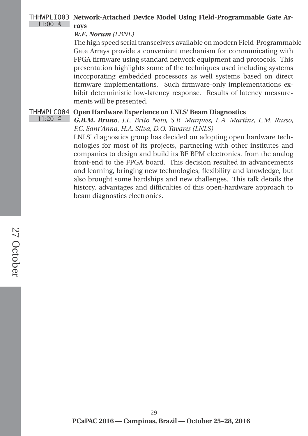#### THHWPLIO03 **Network-Attached Device Model Using Field-Programmable Gate Ar-** $11:00$   $\approx$ **rays**

#### *W.E. Norum (LBNL)*

The high speed serial transceivers available on modern Field-Programmable Gate Arrays provide a convenient mechanism for communicating with FPGA firmware using standard network equipment and protocols. This presentation highlights some of the techniques used including systems incorporating embedded processors as well systems based on direct firmware implementations. Such firmware-only implementations exhibit deterministic low-latency response. Results of latency measurements will be presented.

#### THHWPLCO04 **Open Hardware Experience on LNLS' Beam Diagnostics**

 $11:20$  ∺

*G.B.M. Bruno, J.L. Brito Neto, S.R. Marques, L.A. Martins, L.M. Russo, F.C. Sant'Anna, H.A. Silva, D.O. Tavares (LNLS)*

LNLS' diagnostics group has decided on adopting open hardware technologies for most of its projects, partnering with other institutes and companies to design and build its RF BPM electronics, from the analog front-end to the FPGA board. This decision resulted in advancements and learning, bringing new technologies, flexibility and knowledge, but also brought some hardships and new challenges. This talk details the history, advantages and difficulties of this open-hardware approach to beam diagnostics electronics.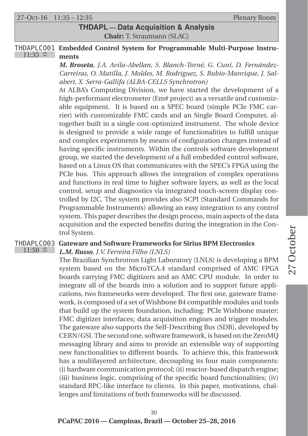27-Oct-16 11:35 – 12:35 Plenary Room

### **THDAPL — Data Acquisition & Analysis Chair:** T. Straumann (SLAC)

#### THDAPLCO01 **Embedded Control System for Programmable Multi-Purpose Instru-** $11:35$  # **ments**

*M. Broseta, J.A. Avila-Abellan, S. Blanch-Torné, G. Cuní, D. Fernández-Carreiras, O. Matilla, J. Moldes, M. Rodriguez, S. Rubio-Manrique, J. Salabert, X. Serra-Gallifa (ALBA-CELLS Synchrotron)*

At ALBA's Computing Division, we have started the development of a high-performant electrometer (Em# project) as a versatile and customizable equipment. It is based on a SPEC board (simple PCIe FMC carrier) with customizable FMC cards and an Single Board Computer, altogether built in a single cost-optimized instrument. The whole device is designed to provide a wide range of functionalities to fulfill unique and complex experiments by means of configuration changes instead of having specific instruments. Within the controls software development group, we started the development of a full embedded control software, based on a Linux OS that communicates with the SPEC's FPGA using the PCIe bus. This approach allows the integration of complex operations and functions in real time to higher software layers, as well as the local control, setup and diagnostics via integrated touch-screen display controlled by I2C. The system provides also SCPI (Standard Commands for Programmable Instruments) allowing an easy integration to any control system. This paper describes the design process, main aspects of the data acquisition and the expected benefits during the integration in the Control System.

#### THDAPLCO03 **Gateware and Software Frameworks for Sirius BPM Electronics**  $11:50$  #

*L.M. Russo, J.V. Ferreira Filho (LNLS)*

The Brazilian Synchrotron Light Laboratory (LNLS) is developing a BPM system based on the MicroTCA.4 standard comprised of AMC FPGA boards carrying FMC digitizers and an AMC CPU module. In order to integrate all of the boards into a solution and to support future applications, two frameworks were developed. The first one, gateware framework, is composed of a set of Wishbone B4 compatible modules and tools that build up the system foundation, including: PCIe Wishbone master; FMC digitizer interfaces; data acquisition engines and trigger modules. The gateware also supports the Self-Describing Bus (SDB), developed by CERN/GSI. The second one, software framework, is based on the ZeroMQ messaging library and aims to provide an extensible way of supporting new functionalities to different boards. To achieve this, this framework has a multilayered architecture, decoupling its four main components: (i) hardware communication protocol; (ii) reactor-based dispatch engine; (iii) business logic, comprising of the specific board functionalities; (iv) standard RPC-like interface to clients. In this paper, motivations, challenges and limitations of both frameworks will be discussed.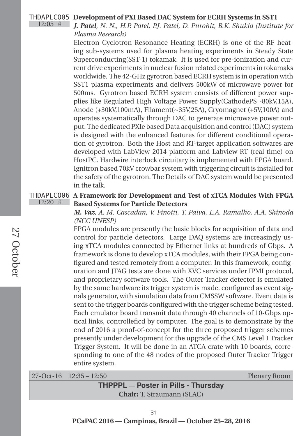#### THDAPLCO05 **Development of PXI Based DAC System for ECRH Systems in SST1**

*J. Patel, N. N., H.P. Patel, P.J. Patel, D. Purohit, B.K. Shukla (Institute for Plasma Research)*

Electron Cyclotron Resonance Heating (ECRH) is one of the RF heating sub-systems used for plasma heating experiments in Steady State Superconducting(SST-1) tokamak. It is used for pre-ionization and current drive experiments in nuclear fusion related experiments in tokamaks worldwide. The 42-GHz gyrotron based ECRH system is in operation with SST1 plasma experiments and delivers 500kW of microwave power for 500ms. Gyrotron based ECRH system consists of different power supplies like Regulated High Voltage Power Supply(CathodePS -80kV,15A), Anode (+30kV,100mA), Filament(∼35V,25A), Cryomagnet (+5V,100A) and operates systematically through DAC to generate microwave power output. The dedicated PXIe based Data acquisition and control (DAC) system is designed with the enhanced features for different conditional operation of gyrotron. Both the Host and RT-target application softwares are developed with LabView-2014 platform and Labview RT (real time) on HostPC. Hardwire interlock circuitary is implemented with FPGA board. Ignitron based 70kV crowbar system with triggering circuit is installed for the safety of the gyrotron. The Details of DAC system would be presented in the talk.

#### THDAPLCO06 **A Framework for Development and Test of xTCA Modules With FPGA**  $12:20$  # **Based Systems for Particle Detectors**

*M. Vaz, A. M. Cascadan, V. Finotti, T. Paiva, L.A. Ramalho, A.A. Shinoda (NCC UNESP)*

FPGA modules are presently the basic blocks for acquisition of data and control for particle detectors. Large DAQ systems are increasingly using xTCA modules connected by Ethernet links at hundreds of Gbps. A framework is done to develop xTCA modules, with their FPGA being configured and tested remotely from a computer. In this framework, configuration and JTAG tests are done with XVC services under IPMI protocol, and proprietary software tools. The Outer Tracker detector is emulated by the same hardware its trigger system is made, configured as event signals generator, with simulation data from CMSSW software. Event data is sent to the trigger boards configured with the trigger scheme being tested. Each emulator board transmit data through 40 channels of 10-Gbps optical links, controlleficd by computer. The goal is to demonstrate by the end of 2016 a proof-of-concept for the three proposed trigger schemes presently under development for the upgrade of the CMS Level 1 Tracker Trigger System. It will be done in an ATCA crate with 10 boards, corresponding to one of the 48 nodes of the proposed Outer Tracker Trigger entire system.

| $27-Oct-16$ $12:35-12:50$ |
|---------------------------|
|---------------------------|

Plenary Room

| <b>THPPPL</b> — Poster in Pills - Thursday |  |
|--------------------------------------------|--|
| <b>Chair:</b> T. Straumann (SLAC)          |  |

 $12:05$  #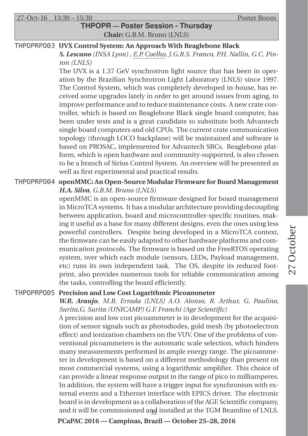27-Oct-16 13:30 – 15:30 Poster Room

### **THPOPR — Poster Session - Thursday Chair:** G.B.M. Bruno (LNLS)

#### THPOPRPO03 **UVX Control System: An Approach With Beaglebone Black**

*S. Lescano (INSA Lyon) , E.P. Coelho, J.G.R.S. Franco, P.H. Nallin, G.C. Pinton (LNLS)*

The UVX is a 1.37 GeV synchrotron light source that has been in operation by the Brazilian Synchrotron Light Laboratory (LNLS) since 1997. The Control System, which was completely developed in-house, has received some upgrades lately in order to get around issues from aging, to improve performance and to reduce maintenance costs. A new crate controller, which is based on Beaglebone Black single board computer, has been under tests and is a great candidate to substitute both Advantech single board computers and old CPUs. The current crate communication topology (through LOCO backplane) will be maintained and software is based on PROSAC, implemented for Advantech SBCs. Beaglebone platform, which is open hardware and community-supported, is also chosen to be a branch of Sirius Control System. An overview will be presented as well as first experimental and practical results.

#### THPOPRPO04 **openMMC: An Open-Source Modular Firmware for Board Management** *H.A. Silva, G.B.M. Bruno (LNLS)*

openMMC is an open-source firmware designed for board management in MicroTCA systems. It has a modular architecture providing decoupling between application, board and microcontroller-specific routines, making it useful as a base for many different designs, even the ones using less powerful controllers. Despite being developed in a MicroTCA context, the firmware can be easily adapted to other hardware platforms and communication protocols. The firmware is based on the FreeRTOS operating system, over which each module (sensors, LEDs, Payload management, etc) runs its own independent task. The OS, despite its reduced footprint, also provides numerous tools for reliable communication among the tasks, controlling the board efficiently.

#### THPOPRPO05 **Precision and Low Cost Logarithmic Picoammeter**

*W.R. Araujo, M.B. Errada (LNLS) A.O. Alonso, R. Arthur, G. Paulino, Surita,G. Surita (UNICAMP) G.F. Franchi (Age Scientific)* A precision and low cost picoammeter is in development for the acquisition of sensor signals such as photodiodes, gold mesh (by photoelectron effect) and ionization chambers on the VUV. One of the problems of conventional picoammeters is the automatic scale selection, which hinders many measurements performed in ample energy range. The picoammeter in development is based on a different methodology than present on most commercial systems, using a logarithmic amplifier. This choice of can provide a linear response output in the range of pico to milliamperes. In addition, the system will have a trigger input for synchronism with external events and a Ethernet interface with EPICS driver. The electronic board is in development as a collaboration of the AGE Scientific company, and it will be commissioned a $\frac{1}{2}$  installed at the TGM Beamline of LNLS.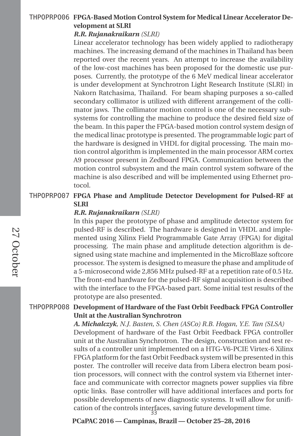#### THPOPRPO06 **FPGA-Based Motion Control System for Medical Linear Accelerator Development at SLRI**

#### *R.R. Rujanakraikarn (SLRI)*

Linear accelerator technology has been widely applied to radiotherapy machines. The increasing demand of the machines in Thailand has been reported over the recent years. An attempt to increase the availability of the low-cost machines has been proposed for the domestic use purposes. Currently, the prototype of the 6 MeV medical linear accelerator is under development at Synchrotron Light Research Institute (SLRI) in Nakorn Ratchasima, Thailand. For beam shaping purposes a so-called secondary collimator is utilized with different arrangement of the collimator jaws. The collimator motion control is one of the necessary subsystems for controlling the machine to produce the desired field size of the beam. In this paper the FPGA-based motion control system design of the medical linac prototype is presented. The programmable logic part of the hardware is designed in VHDL for digital processing. The main motion control algorithm is implemented in the main processor ARM cortex A9 processor present in Zedboard FPGA. Communication between the motion control subsystem and the main control system software of the machine is also described and will be implemented using Ethernet protocol.

#### THPOPRPO07 **FPGA Phase and Amplitude Detector Development for Pulsed-RF at SLRI**

#### *R.R. Rujanakraikarn (SLRI)*

In this paper the prototype of phase and amplitude detector system for pulsed-RF is described. The hardware is designed in VHDL and implemented using Xilinx Field Programmable Gate Array (FPGA) for digital processing. The main phase and amplitude detection algorithm is designed using state machine and implemented in the MicroBlaze softcore processor. The system is designed to measure the phase and amplitude of a 5-microsecond wide 2,856 MHz pulsed-RF at a repetition rate of 0.5 Hz. The front-end hardware for the pulsed-RF signal acquisition is described with the interface to the FPGA-based part. Some initial test results of the prototype are also presented.

#### THPOPRPO08 **Development of Hardware of the Fast Orbit Feedback FPGA Controller Unit at the Australian Synchrotron**

*A. Michalczyk, N.J. Basten, S. Chen (ASCo) R.B. Hogan, Y.E. Tan (SLSA)* Development of hardware of the Fast Orbit Feedback FPGA controller unit at the Australian Synchrotron. The design, construction and test results of a controller unit implemented on a HTG-V6-PCIE Virtex-6 Xilinx FPGA platform for the fast Orbit Feedback system will be presented in this poster. The controller will receive data from Libera electron beam position processors, will connect with the control system via Ethernet interface and communicate with corrector magnets power supplies via fibre optic links. Base controller will have additional interfaces and ports for possible developments of new diagnostic systems. It will allow for unification of the controls interfaces, saving future development time. 33

**PCaPAC 2016 — Campinas, Brazil — October 25–28, 2016**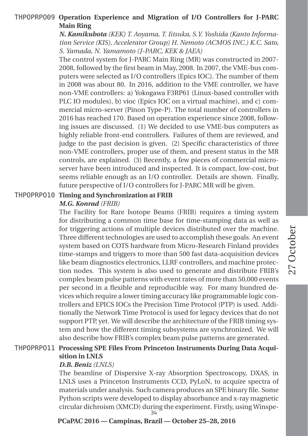#### THPOPRPO09 **Operation Experience and Migration of I/O Controllers for J-PARC Main Ring**

*N. Kamikubota (KEK) T. Aoyama, T. Iitsuka, S.Y. Yoshida (Kanto Information Service (KIS), Accelerator Group) H. Nemoto (ACMOS INC.) K.C. Sato, S. Yamada, N. Yamamoto (J-PARC, KEK & JAEA)*

The control system for J-PARC Main Ring (MR) was constructed in 2007- 2008, followed by the first beam in May, 2008. In 2007, the VME-bus computers were selected as I/O controllers (Epics IOC). The number of them in 2008 was about 80. In 2016, addition to the VME controller, we have non-VME controllers: a) Yokogawa F3RP61 (Linux-based controller with PLC IO modules), b) vioc (Epics IOC on a virtual machine), and c) commercial micro-server (Pinon Type-P). The total number of controllers in 2016 has reached 170. Based on operation experience since 2008, following issues are discussed. (1) We decided to use VME-bus computers as highly reliable front-end controllers. Failures of them are reviewed, and judge to the past decision is given. (2) Specific characteristics of three non-VME controllers, proper use of them, and present status in the MR controls, are explained. (3) Recently, a few pieces of commercial microserver have been introduced and inspected. It is compact, low-cost, but seems reliable enough as an I/O controller. Details are shown. Finally, future perspective of I/O controllers for J-PARC MR will be given.

#### THPOPRPO10 **Timing and Synchronization at FRIB**

#### *M.G. Konrad (FRIB)*

The Facility for Rare Isotope Beams (FRIB) requires a timing system for distributing a common time base for time-stamping data as well as for triggering actions of multiple devices distributed over the machine. Three different technologies are used to accomplish these goals. An event system based on COTS hardware from Micro-Research Finland provides time-stamps and triggers to more than 500 fast data-acquisition devices like beam diagnostics electronics, LLRF controllers, and machine protection nodes. This system is also used to generate and distribute FRIB's complex beam pulse patterns with event rates of more than 50,000 events per second in a flexible and reproducible way. For many hundred devices which require a lower timing accuracy like programmable logic controllers and EPICS IOCs the Precision Time Protocol (PTP) is used. Additionally the Network Time Protocol is used for legacy devices that do not support PTP, yet. We will describe the architecture of the FRIB timing system and how the different timing subsystems are synchronized. We will also describe how FRIB's complex beam pulse patterns are generated.

#### THPOPRPO11 **Processing SPE Files From Princeton Instruments During Data Acquisition in LNLS**

#### *D.B. Beniz (LNLS)*

The beamline of Dispersive X-ray Absorption Spectroscopy, DXAS, in LNLS uses a Princeton Instruments CCD, PyLoN, to acquire spectra of materials under analysis. Such camera produces an SPE binary file. Some Python scripts were developed to display absorbance and x-ray magnetic circular dichroism (XMCD) during the experiment. Firstly, using Winspe-34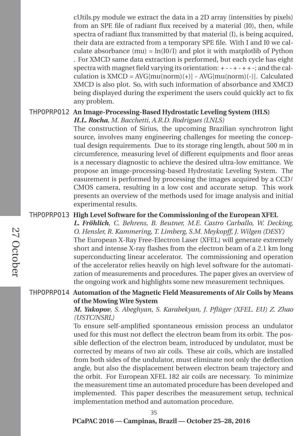cUtils.py module we extract the data in a 2D array (intensities by pixels) from an SPE file of radiant flux received by a material (I0), then, while spectra of radiant flux transmitted by that material (I), is being acquired, their data are extracted from a temporary SPE file. With I and I0 we calculate absorbance (mu) =  $\ln(10/1)$  and plot it with matplotlib of Python . For XMCD same data extraction is performed, but each cycle has eight spectra with magnet field varying its orientation:  $+ - + - + + +$ ; and the calculation is  $XMCD = AVG[mu(norm)(+)] - AVG[mu(norm)(-)]$ . Calculated XMCD is also plot. So, with such information of absorbance and XMCD being displayed during the experiment the users could quickly act to fix any problem.

#### THPOPRPO12 **An Image-Processing-Based Hydrostatic Leveling System (HLS)**

*H.L. Rocha, M. Bacchetti, A.R.D. Rodrigues (LNLS)*

The construction of Sirius, the upcoming Brazilian synchrotron light source, involves many engineering challenges for meeting the conceptual design requirements. Due to its storage ring length, about 500 m in circumference, measuring level of different equipments and floor areas is a necessary diagnostic to achieve the desired ultra-low emittance. We propose an image-processing-based Hydrostatic Leveling System. The easurement is performed by processing the images acquired by a CCD/ CMOS camera, resulting in a low cost and accurate setup. This work presents an overview of the methods used for image analysis and initial experimental results.

#### THPOPRPO13 **High Level Software for the Commissioning of the European XFEL**

*L. Fröhlich, C. Behrens, B. Beutner, M.E. Castro Carballo, W. Decking, O. Hensler, R. Kammering, T. Limberg, S.M. Meykopff, J. Wilgen (DESY)* The European X-Ray Free-Electron Laser (XFEL) will generate extremely short and intense X-ray flashes from the electron beam of a 2.1 km long superconducting linear accelerator. The commissioning and operation of the accelerator relies heavily on high level software for the automatization of measurements and procedures. The paper gives an overview of the ongoing work and highlights some new measurement techniques.

#### THPOPRPO14 **Automation of the Magnetic Field Measurements of Air Coils by Means of the Mowing Wire System**

*M. Yakopov, S. Abeghyan, S. Karabekyan, J. Pflüger (XFEL. EU) Z. Zhao (USTC/NSRL)*

To ensure self-amplified spontaneous emission process an undulator used for this must not deflect the electron beam from its orbit. The possible deflection of the electron beam, introduced by undulator, must be corrected by means of two air coils. These air coils, which are installed from both sides of the undulator, must eliminate not only the deflection angle, but also the displacement between electron beam trajectory and the orbit. For European XFEL 182 air coils are necessary. To minimize the measurement time an automated procedure has been developed and implemented. This paper describes the measurement setup, technical implementation method and automation procedure.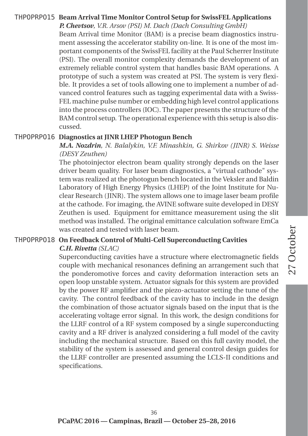### THPOPRPO15 **Beam Arrival Time Monitor Control Setup for SwissFEL Applications**

*P. Chevtsov, V.R. Arsov (PSI) M. Dach (Dach Consulting GmbH)* Beam Arrival time Monitor (BAM) is a precise beam diagnostics instrument assessing the accelerator stability on-line. It is one of the most important components of the SwissFEL facility at the Paul Scherrer Institute (PSI). The overall monitor complexity demands the development of an extremely reliable control system that handles basic BAM operations. A prototype of such a system was created at PSI. The system is very flexible. It provides a set of tools allowing one to implement a number of advanced control features such as tagging experimental data with a Swiss-FEL machine pulse number or embedding high level control applications into the process controllers (IOC). The paper presents the structure of the BAM control setup. The operational experience with this setup is also discussed.

#### THPOPRPO16 **Diagnostics at JINR LHEP Photogun Bench**

*M.A. Nozdrin, N. Balalykin, V.F. Minashkin, G. Shirkov (JINR) S. Weisse (DESY Zeuthen)*

The photoinjector electron beam quality strongly depends on the laser driver beam quality. For laser beam diagnostics, a "virtual cathode" system was realized at the photogun bench located in the Veksler and Baldin Laboratory of High Energy Physics (LHEP) of the Joint Institute for Nuclear Research (JINR). The system allows one to image laser beam profile at the cathode. For imaging, the AVINE software suite developed in DESY Zeuthen is used. Equipment for emittance measurement using the slit method was installed. The original emittance calculation software EmCa was created and tested with laser beam.

#### THPOPRPO18 **On Feedback Control of Multi-Cell Superconducting Cavities** *C.H. Rivetta (SLAC)*

Superconducting cavities have a structure where electromagnetic fields couple with mechanical resonances defining an arrangement such that the ponderomotive forces and cavity deformation interaction sets an open loop unstable system. Actuator signals for this system are provided by the power RF amplifier and the piezo-actuator setting the tune of the cavity. The control feedback of the cavity has to include in the design the combination of those actuator signals based on the input that is the accelerating voltage error signal. In this work, the design conditions for the LLRF control of a RF system composed by a single superconducting cavity and a RF driver is analyzed considering a full model of the cavity including the mechanical structure. Based on this full cavity model, the stability of the system is assessed and general control design guides for the LLRF controller are presented assuming the LCLS-II conditions and specifications.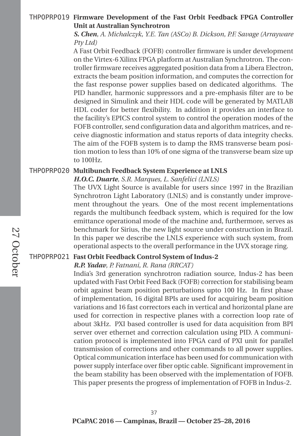#### THPOPRPO19 **Firmware Development of the Fast Orbit Feedback FPGA Controller Unit at Australian Synchrotron**

*S. Chen, A. Michalczyk, Y.E. Tan (ASCo) B. Dickson, P.F. Savage (Arrayware Pty Ltd)*

A Fast Orbit Feedback (FOFB) controller firmware is under development on the Virtex-6 Xilinx FPGA platform at Australian Synchrotron. The controller firmware receives aggregated position data from a Libera Electron, extracts the beam position information, and computes the correction for the fast response power supplies based on dedicated algorithms. The PID handler, harmonic suppressors and a pre-emphasis filter are to be designed in Simulink and their HDL code will be generated by MATLAB HDL coder for better flexibility. In addition it provides an interface to the facility's EPICS control system to control the operation modes of the FOFB controller, send configuration data and algorithm matrices, and receive diagnostic information and status reports of data integrity checks. The aim of the FOFB system is to damp the RMS transverse beam position motion to less than 10% of one sigma of the transverse beam size up to 100Hz.

#### THPOPRPO20 **Multibunch Feedback System Experience at LNLS**

*H.O.C. Duarte, S.R. Marques, L. Sanfelici (LNLS)*

The UVX Light Source is available for users since 1997 in the Brazilian Synchrotron Light Laboratory (LNLS) and is constantly under improvement throughout the years. One of the most recent implementations regards the multibunch feedback system, which is required for the low emittance operational mode of the machine and, furthermore, serves as benchmark for Sirius, the new light source under construction in Brazil. In this paper we describe the LNLS experience with such system, from operational aspects to the overall performance in the UVX storage ring.

#### THPOPRPO21 **Fast Orbit Feedback Control System of Indus-2**

#### *R.P. Yadav, P. Fatnani, R. Rana (RRCAT)*

India's 3rd generation synchrotron radiation source, Indus-2 has been updated with Fast Orbit Feed Back (FOFB) correction for stabilising beam orbit against beam position perturbations upto 100 Hz. In first phase of implementation, 16 digital BPIs are used for acquiring beam position variations and 16 fast correctors each in vertical and horizontal plane are used for correction in respective planes with a correction loop rate of about 3kHz. PXI based controller is used for data acquisition from BPI server over ethernet and correction calculation using PID. A communication protocol is implemented into FPGA card of PXI unit for parallel transmission of corrections and other commands to all power supplies. Optical communication interface has been used for communication with power supply interface over fiber optic cable. Significant improvement in the beam stability has been observed with the implementation of FOFB. This paper presents the progress of implementation of FOFB in Indus-2.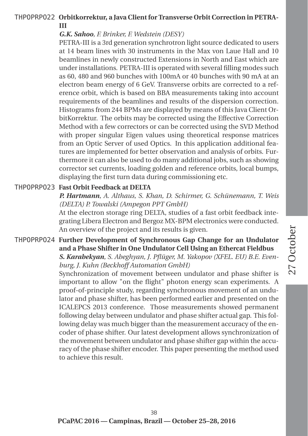#### THPOPRPO22 **Orbitkorrektur, a Java Client for Transverse Orbit Correction in PETRA-III**

#### *G.K. Sahoo, F. Brinker, F. Wedstein (DESY)*

PETRA-III is a 3rd generation synchrotron light source dedicated to users at 14 beam lines with 30 instruments in the Max von Laue Hall and 10 beamlines in newly constructed Extensions in North and East which are under installations. PETRA-III is operated with several filling modes such as 60, 480 and 960 bunches with 100mA or 40 bunches with 90 mA at an electron beam energy of 6 GeV. Transverse orbits are corrected to a reference orbit, which is based on BBA measurements taking into account requirements of the beamlines and results of the dispersion correction. Histograms from 244 BPMs are displayed by means of this Java Client OrbitKorrektur. The orbits may be corrected using the Effective Correction Method with a few correctors or can be corrected using the SVD Method with proper singular Eigen values using theoretical response matrices from an Optic Server of used Optics. In this application additional features are implemented for better observation and analysis of orbits. Furthermore it can also be used to do many additional jobs, such as showing corrector set currents, loading golden and reference orbits, local bumps, displaying the first turn data during commissioning etc.

#### THPOPRPO23 **Fast Orbit Feedback at DELTA**

*P. Hartmann, A. Althaus, S. Khan, D. Schirmer, G. Schünemann, T. Weis (DELTA) P. Towalski (Ampegon PPT GmbH)*

At the electron storage ring DELTA, studies of a fast orbit feedback integrating Libera Electron and Bergoz MX-BPM electronics were conducted. An overview of the project and its results is given.

#### THPOPRPO24 **Further Development of Synchronous Gap Change for an Undulator and a Phase Shifter in One Undulator Cell Using an Ethercat Fieldbus** *S. Karabekyan, S. Abeghyan, J. Pflüger, M. Yakopov (XFEL. EU) B.E. Evenburg, J. Kuhn (Beckhoff Automation GmbH)*

Synchronization of movement between undulator and phase shifter is important to allow "on the flight" photon energy scan experiments. A proof-of-principle study, regarding synchronous movement of an undulator and phase shifter, has been performed earlier and presented on the ICALEPCS 2013 conference. Those measurements showed permanent following delay between undulator and phase shifter actual gap. This following delay was much bigger than the measurement accuracy of the encoder of phase shifter. Our latest development allows synchronization of the movement between undulator and phase shifter gap within the accuracy of the phase shifter encoder. This paper presenting the method used to achieve this result.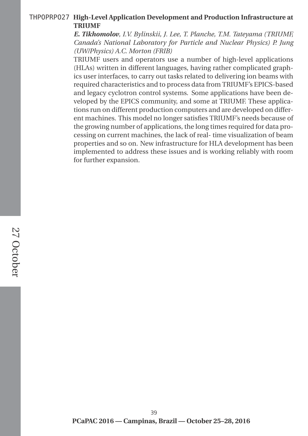#### THPOPRPO27 **High-Level Application Development and Production Infrastructure at TRIUMF**

*E. Tikhomolov, I.V. Bylinskii, J. Lee, T. Planche, T.M. Tateyama (TRIUMF, Canada's National Laboratory for Particle and Nuclear Physics) P. Jung (UW/Physics) A.C. Morton (FRIB)*

TRIUMF users and operators use a number of high-level applications (HLAs) written in different languages, having rather complicated graphics user interfaces, to carry out tasks related to delivering ion beams with required characteristics and to process data from TRIUMF's EPICS-based and legacy cyclotron control systems. Some applications have been developed by the EPICS community, and some at TRIUMF. These applications run on different production computers and are developed on different machines. This model no longer satisfies TRIUMF's needs because of the growing number of applications, the long times required for data processing on current machines, the lack of real- time visualization of beam properties and so on. New infrastructure for HLA development has been implemented to address these issues and is working reliably with room for further expansion.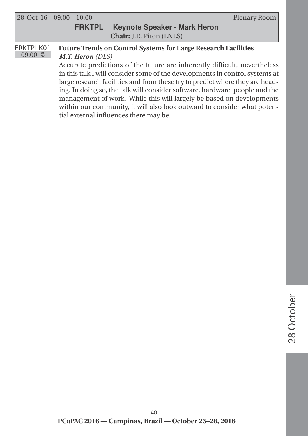|                                              | $\left  \right. 28 - \text{Oct} - 16 \left( \right. 09:00 - 10:00 \right)$ | Plenary Room |
|----------------------------------------------|----------------------------------------------------------------------------|--------------|
| <b>FRKTPL</b> - Keynote Speaker - Mark Heron |                                                                            |              |
| <b>Chair:</b> J.R. Piton (LNLS)              |                                                                            |              |

#### FRKTPLK01  $09:00$  8 **Future Trends on Control Systems for Large Research Facilities** *M.T. Heron (DLS)* Accurate predictions of the future are inherently difficult, nevertheless

in this talk I will consider some of the developments in control systems at large research facilities and from these try to predict where they are heading. In doing so, the talk will consider software, hardware, people and the management of work. While this will largely be based on developments within our community, it will also look outward to consider what potential external influences there may be.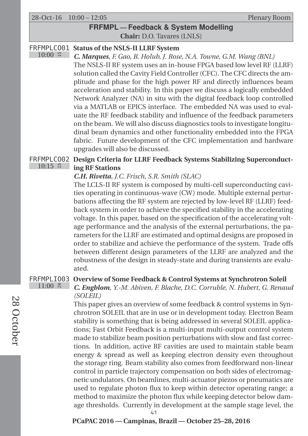28-Oct-16 10:00 – 12:05 Plenary Room

 $10:00$  #

#### **FRFMPL — Feedback & System Modelling Chair:** D.O. Tavares (LNLS)

#### FRFMPLCO01 **Status of the NSLS-II LLRF System**

*C. Marques, F. Gao, B. Holub, J. Rose, N.A. Towne, G.M. Wang (BNL)* The NSLS-II RF system uses an in-house FPGA based low level RF (LLRF) solution called the Cavity Field Controller (CFC). The CFC directs the amplitude and phase for the high power RF and directly influences beam acceleration and stability. In this paper we discuss a logically embedded Network Analyzer (NA) in situ with the digital feedback loop controlled via a MATLAB or EPICS interface. The embedded NA was used to evaluate the RF feedback stability and influence of the feedback parameters on the beam. We will also discuss diagnostics tools to investigate longitudinal beam dynamics and other functionality embedded into the FPGA fabric. Future development of the CFC implementation and hardware upgrades will also be discussed.

#### FRFMPLCO02 **Design Criteria for LLRF Feedback Systems Stabilizing Superconduct-** $10:15$  # **ing RF Stations**

#### *C.H. Rivetta, J.C. Frisch, S.R. Smith (SLAC)*

The LCLS-II RF system is composed by multi-cell superconducting cavities operating in continuous-wave (CW) mode. Multiple external perturbations affecting the RF system are rejected by low-level RF (LLRF) feedback system in order to achieve the specified stability in the accelerating voltage. In this paper, based on the specification of the accelerating voltage performance and the analysis of the external perturbations, the parameters for the LLRF are estimated and optimal designs are proposed in order to stabilize and achieve the performance of the system. Trade offs between different design parameters of the LLRF are analyzed and the robustness of the design in steady-state and during transients are evaluated.

#### FRFMPLIO03 **Overview of Some Feedback & Control Systems at Synchrotron Soleil**  $11:00$   $\approx$

*C. Engblom, Y.-M. Abiven, F. Blache, D.C. Corruble, N. Hubert, G. Renaud (SOLEIL)*

This paper gives an overview of some feedback & control systems in Synchrotron SOLEIL that are in use or in development today. Electron Beam stability is something that is being addressed in several SOLEIL applications; Fast Orbit Feedback is a multi-input multi-output control system made to stabilize beam position perturbations with slow and fast corrections. In addition, active RF cavities are used to maintain stable beam energy & spread as well as keeping electron density even throughout the storage ring. Beam stability also comes from feedforward non-linear control in particle trajectory compensation on both sides of electromagnetic undulators. On beamlines, multi-actuator piezos or pneumatics are used to regulate photon flux to keep within detector operating range; a method to maximize the photon flux while keeping detector below damage thresholds. Currently in development at the sample stage level, the 41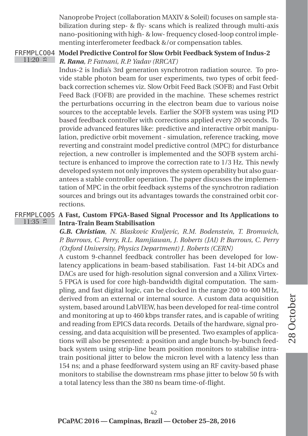Nanoprobe Project (collaboration MAXIV & Soleil) focuses on sample stabilization during step- & fly- scans which is realized through multi-axis nano-positioning with high- & low- frequency closed-loop control implementing interferometer feedback &/or compensation tables.

FRFMPLCO04 **Model Predictive Control for Slow Orbit Feedback System of Indus-2**  $11:20$   $\approx$ *R. Rana, P. Fatnani, R.P. Yadav (RRCAT)*

Indus-2 is India's 3rd generation synchrotron radiation source. To provide stable photon beam for user experiments, two types of orbit feedback correction schemes viz. Slow Orbit Feed Back (SOFB) and Fast Orbit Feed Back (FOFB) are provided in the machine. These schemes restrict the perturbations occurring in the electron beam due to various noise sources to the acceptable levels. Earlier the SOFB system was using PID based feedback controller with corrections applied every 20 seconds. To provide advanced features like: predictive and interactive orbit manipulation, predictive orbit movement - simulation, reference tracking, move reverting and constraint model predictive control (MPC) for disturbance rejection, a new controller is implemented and the SOFB system architecture is enhanced to improve the correction rate to 1/3 Hz. This newly developed system not only improves the system operability but also guarantees a stable controller operation. The paper discusses the implementation of MPC in the orbit feedback systems of the synchrotron radiation sources and brings out its advantages towards the constrained orbit corrections.

FRFMPLCO05 **A Fast, Custom FPGA-Based Signal Processor and Its Applications to**  $11:35$  # **Intra-Train Beam Stabilisation**

*G.B. Christian, N. Blaskovic Kraljevic, R.M. Bodenstein, T. Bromwich, P. Burrows, C. Perry, R.L. Ramjiawan, J. Roberts (JAI) P. Burrows, C. Perry (Oxford University, Physics Department) J. Roberts (CERN)*

A custom 9-channel feedback controller has been developed for lowlatency applications in beam-based stabilisation. Fast 14-bit ADCs and DACs are used for high-resolution signal conversion and a Xilinx Virtex-5 FPGA is used for core high-bandwidth digital computation. The sampling, and fast digital logic, can be clocked in the range 200 to 400 MHz, derived from an external or internal source. A custom data acquisition system, based around LabVIEW, has been developed for real-time control and monitoring at up to 460 kbps transfer rates, and is capable of writing and reading from EPICS data records. Details of the hardware, signal processing, and data acquisition will be presented. Two examples of applications will also be presented: a position and angle bunch-by-bunch feedback system using strip-line beam position monitors to stabilise intratrain positional jitter to below the micron level with a latency less than 154 ns; and a phase feedforward system using an RF cavity-based phase monitors to stabilise the downstream rms phase jitter to below 50 fs with a total latency less than the 380 ns beam time-of-flight.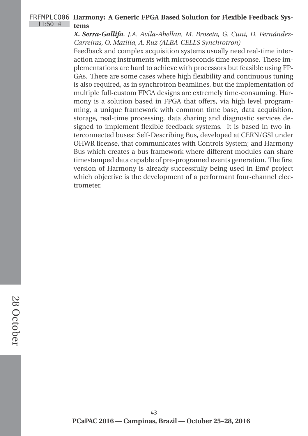#### FRFMPLCO06 **Harmony: A Generic FPGA Based Solution for Flexible Feedback Sys-** $11:50$  # **tems**

#### *X. Serra-Gallifa, J.A. Avila-Abellan, M. Broseta, G. Cuní, D. Fernández-Carreiras, O. Matilla, A. Ruz (ALBA-CELLS Synchrotron)*

Feedback and complex acquisition systems usually need real-time interaction among instruments with microseconds time response. These implementations are hard to achieve with processors but feasible using FP-GAs. There are some cases where high flexibility and continuous tuning is also required, as in synchrotron beamlines, but the implementation of multiple full-custom FPGA designs are extremely time-consuming. Harmony is a solution based in FPGA that offers, via high level programming, a unique framework with common time base, data acquisition, storage, real-time processing, data sharing and diagnostic services designed to implement flexible feedback systems. It is based in two interconnected buses: Self-Describing Bus, developed at CERN/GSI under OHWR license, that communicates with Controls System; and Harmony Bus which creates a bus framework where different modules can share timestamped data capable of pre-programed events generation. The first version of Harmony is already successfully being used in Em# project which objective is the development of a performant four-channel electrometer.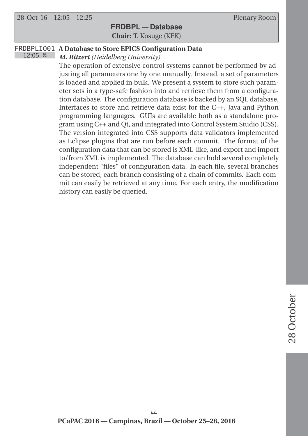#### **FRDBPL — Database Chair:** T. Kosuge (KEK)

#### FRDBPLIO01 **A Database to Store EPICS Configuration Data**

 $12:05$   $\approx$ *M. Ritzert (Heidelberg University)*

> The operation of extensive control systems cannot be performed by adjusting all parameters one by one manually. Instead, a set of parameters is loaded and applied in bulk. We present a system to store such parameter sets in a type-safe fashion into and retrieve them from a configuration database. The configuration database is backed by an SQL database. Interfaces to store and retrieve data exist for the C++, Java and Python programming languages. GUIs are available both as a standalone program using C++ and Qt, and integrated into Control System Studio (CSS). The version integrated into CSS supports data validators implemented as Eclipse plugins that are run before each commit. The format of the configuration data that can be stored is XML-like, and export and import to/from XML is implemented. The database can hold several completely independent "files" of configuration data. In each file, several branches can be stored, each branch consisting of a chain of commits. Each commit can easily be retrieved at any time. For each entry, the modification history can easily be queried.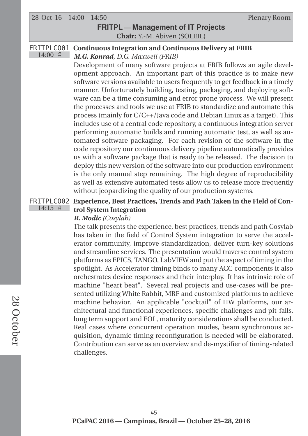28-Oct-16 14:00 – 14:50 Plenary Room

#### **FRITPL — Management of IT Projects Chair:** Y.-M. Abiven (SOLEIL)

#### FRITPLCO01 **Continuous Integration and Continuous Delivery at FRIB**

 $14:00$  # *M.G. Konrad, D.G. Maxwell (FRIB)*

Development of many software projects at FRIB follows an agile development approach. An important part of this practice is to make new software versions available to users frequently to get feedback in a timely manner. Unfortunately building, testing, packaging, and deploying software can be a time consuming and error prone process. We will present the processes and tools we use at FRIB to standardize and automate this process (mainly for C/C++/Java code and Debian Linux as a target). This includes use of a central code repository, a continuous integration server performing automatic builds and running automatic test, as well as automated software packaging. For each revision of the software in the code repository our continuous delivery pipeline automatically provides us with a software package that is ready to be released. The decision to deploy this new version of the software into our production environment is the only manual step remaining. The high degree of reproducibility as well as extensive automated tests allow us to release more frequently without jeopardizing the quality of our production systems.

#### FRITPLCO02 **Experience, Best Practices, Trends and Path Taken in the Field of Con-** $14:15$  # **trol System Integration**

#### *R. Modic (Cosylab)*

The talk presents the experience, best practices, trends and path Cosylab has taken in the field of Control System integration to serve the accelerator community, improve standardization, deliver turn-key solutions and streamline services. The presentation would traverse control system platforms as EPICS, TANGO, LabVIEW and put the aspect of timing in the spotlight. As Accelerator timing binds to many ACC components it also orchestrates device responses and their interplay. It has intrinsic role of machine "heart beat". Several real projects and use-cases will be presented utilizing White Rabbit, MRF and customized platforms to achieve machine behavior. An applicable "cocktail" of HW platforms, our architectural and functional experiences, specific challenges and pit-falls, long term support and EOL, maturity considerations shall be conducted. Real cases where concurrent operation modes, beam synchronous acquisition, dynamic timing reconfiguration is needed will be elaborated. Contribution can serve as an overview and de-mystifier of timing-related challenges.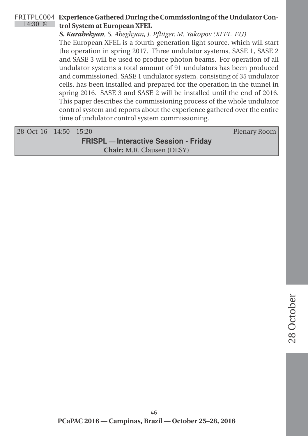#### FRITPLCO04 **Experience Gathered During the Commissioning of the Undulator Con-** $14:30$  # **trol System at European XFEL**

*S. Karabekyan, S. Abeghyan, J. Pflüger, M. Yakopov (XFEL. EU)*

The European XFEL is a fourth-generation light source, which will start the operation in spring 2017. Three undulator systems, SASE 1, SASE 2 and SASE 3 will be used to produce photon beams. For operation of all undulator systems a total amount of 91 undulators has been produced and commissioned. SASE 1 undulator system, consisting of 35 undulator cells, has been installed and prepared for the operation in the tunnel in spring 2016. SASE 3 and SASE 2 will be installed until the end of 2016. This paper describes the commissioning process of the whole undulator control system and reports about the experience gathered over the entire time of undulator control system commissioning.

|                                              | $28-Oct-16$ $14:50-15:20$ | Plenary Room |
|----------------------------------------------|---------------------------|--------------|
| <b>FRISPL</b> — Interactive Session - Friday |                           |              |
| <b>Chair:</b> M.R. Clausen (DESY)            |                           |              |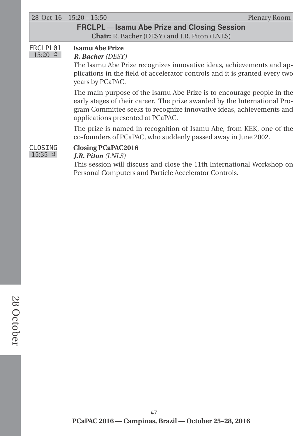|                              | $28-Oct-16$ $15:20-15:50$<br>Plenary Room                                                                                                                                                                                                                       |
|------------------------------|-----------------------------------------------------------------------------------------------------------------------------------------------------------------------------------------------------------------------------------------------------------------|
|                              | <b>FRCLPL-Isamu Abe Prize and Closing Session</b>                                                                                                                                                                                                               |
|                              | <b>Chair:</b> R. Bacher (DESY) and J.R. Piton (LNLS)                                                                                                                                                                                                            |
| FRCLPL01<br>$15:20$ H        | <b>Isamu Abe Prize</b><br><b>R. Bacher (DESY)</b><br>The Isamu Abe Prize recognizes innovative ideas, achievements and ap-<br>plications in the field of accelerator controls and it is granted every two<br>years by PCaPAC.                                   |
|                              | The main purpose of the Isamu Abe Prize is to encourage people in the<br>early stages of their career. The prize awarded by the International Pro-<br>gram Committee seeks to recognize innovative ideas, achievements and<br>applications presented at PCaPAC. |
|                              | The prize is named in recognition of Isamu Abe, from KEK, one of the<br>co-founders of PCaPAC, who suddenly passed away in June 2002.                                                                                                                           |
| CLOSING<br>$15:35$ $\approx$ | <b>Closing PCaPAC2016</b><br><i>J.R. Piton <math>(LNLS)</math></i><br>This session will discuss and close the 11th International Workshop on<br>Personal Computers and Particle Accelerator Controls.                                                           |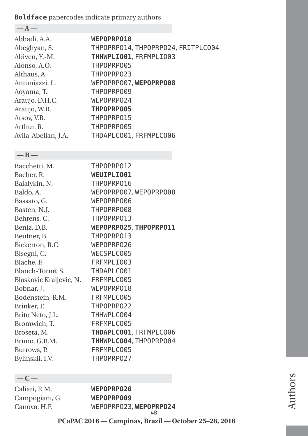### **Boldface** papercodes indicate primary authors

| $-A-$               |                                    |
|---------------------|------------------------------------|
| Abbadi, A.A.        | WEPOPRP010                         |
| Abeghyan, S.        | THPOPRP014, THPOPRP024, FRITPLC004 |
| Abiven, Y.-M.       | THHWPLIO01, FRFMPLIO03             |
| Alonso, A.O.        | THPOPRP005                         |
| Althaus, A.         | THP0PRP023                         |
| Antoniazzi, L.      | WEPOPRP007, WEPOPRP008             |
| Aoyama, T.          | THP0PRP009                         |
| Araujo, D.H.C.      | WEPOPRP024                         |
| Araujo, W.R.        | THPOPRP005                         |
| Arsov. V.R.         | THPOPRP015                         |
| Arthur, R.          | THPOPRP005                         |
| Avila-Abellan, J.A. | THDAPLC001, FRFMPLC006             |
|                     |                                    |

#### **—B—**

| THP0PRP012             |
|------------------------|
| WEUIPLIO01             |
| THP0PRP016             |
| WEPOPRP007, WEPOPRP008 |
| WEPOPRP006             |
| THPOPRP008             |
| THPOPRP013             |
| WEPOPRP025, THPOPRP011 |
| THP0PRP013             |
| WEPOPRP026             |
| WECSPLC005             |
| FRFMPLI003             |
| THDAPLC001             |
| FRFMPLC005             |
| WEPOPRP018             |
| FRFMPLC005             |
| THPOPRP022             |
| THHWPLC004             |
| FRFMPLC005             |
| THDAPLC001, FRFMPLC006 |
| THHWPLC004, THPOPRP004 |
| FRFMPLC005             |
| THP0PRP027             |
|                        |

### **—C—**

Caliari, R.M. **WEPOPRPO20** Campogiani, G. **WEPOPRPO09**

Canova, H.F. WEPOPRPO23, **WEPOPRPO24** 48

**PCaPAC 2016 — Campinas, Brazil — October 25–28, 2016**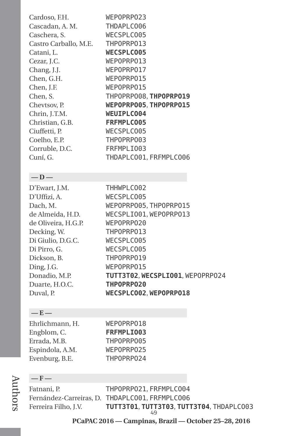| Cardoso, F.H.         | WEPOPRP023             |
|-----------------------|------------------------|
| Cascadan, A. M.       | THDAPLC006             |
| Caschera, S.          | WECSPLC005             |
| Castro Carballo, M.E. | THP0PRP013             |
| Catani, L.            | <b>WECSPLC005</b>      |
| Cezar, J.C.           | WEPOPRP013             |
| Chang, J.J.           | WEPOPRP017             |
| Chen, G.H.            | WEPOPRP015             |
| Chen, J.F.            | WEPOPRP015             |
| Chen, S.              | THPOPRP008, THPOPRP019 |
| Chevtsov, P.          | WEPOPRPO05.THPOPRP015  |
| Chrin, J.T.M.         | <b>WEUIPLC004</b>      |
| Christian, G.B.       | FRFMPLC005             |
| Ciuffetti, P.         | WECSPLC005             |
| Coelho, E.P.          | THPOPRP003             |
| Corruble, D.C.        | FRFMPLI003             |
| Cuní, G.              | THDAPLC001, FRFMPLC006 |
|                       |                        |

#### **—D—**

| D'Ewart, J.M.       | THHWPLC002                       |
|---------------------|----------------------------------|
| D'Uffizi, A.        | WECSPLC005                       |
| Dach, M.            | WEPOPRP005, THPOPRP015           |
| de Almeida, H.D.    | WECSPLIO01, WEPOPRP013           |
| de Oliveira, H.G.P. | WEPOPRP020                       |
| Decking, W.         | THPOPRP013                       |
| Di Giulio, D.G.C.   | WECSPLC005                       |
| Di Pirro, G.        | WECSPLC005                       |
| Dickson, B.         | THP0PRP019                       |
| Ding, J.G.          | WEPOPRP015                       |
| Donadio, M.P.       | TUTT3T02, WECSPLIO01, WEPOPRP024 |
| Duarte, H.O.C.      | THPOPRP020                       |
| Duval, P.           | WECSPLC002. WEPOPRP018           |

#### **—E—**

| Ehrlichmann, H. | WEPOPRP018 |
|-----------------|------------|
| Engblom, C.     | FRFMPLI003 |
| Errada, M.B.    | THPOPRP005 |
| Espindola, A.M. | WEPOPRP025 |
| Evenburg, B.E.  | THP0PRP024 |

#### **—F—**

Fatnani, P. THPOPRPO21, FRFMPLCO04 Fernández-Carreiras, D. THDAPLCO01, FRFMPLCO06 Ferreira Filho, J.V. **TUTT3T01**, **TUTT3T03**, **TUTT3T04**, THDAPLCO03 49

**PCaPAC 2016 — Campinas, Brazil — October 25–28, 2016**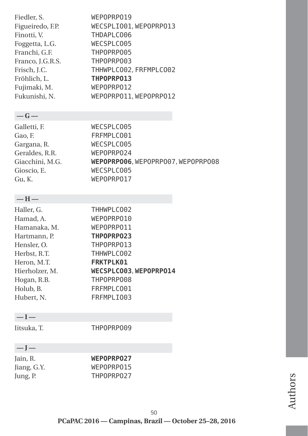| Fiedler, S.      | WEPOPRP019             |
|------------------|------------------------|
| Figueiredo, F.P. | WECSPLI001, WEPOPRP013 |
| Finotti, V.      | THDAPLC006             |
| Foggetta, L.G.   | WECSPLC005             |
| Franchi, G.F.    | THPOPRP005             |
| Franco, J.G.R.S. | THPOPRP003             |
| Frisch, J.C.     | THHWPLC002, FRFMPLC002 |
| Fröhlich. L.     | THPOPRP013             |
| Fujimaki, M.     | WEPOPRP012             |
| Fukunishi, N.    | WEPOPRP011, WEPOPRP012 |
|                  |                        |

### **—G—**

| Galletti, F.    | WECSPLC005                         |
|-----------------|------------------------------------|
| Gao, F.         | FRFMPLC001                         |
| Gargana, R.     | WECSPLC005                         |
| Geraldes, R.R.  | WEPOPRP024                         |
| Giacchini, M.G. | WEPOPRPOO6, WEPOPRPO07, WEPOPRPO08 |
| Gioscio, E.     | WECSPLC005                         |
| Gu, K.          | WEPOPRP017                         |
|                 |                                    |

#### **—H—**

| Haller, G.     | THHWPLC002             |
|----------------|------------------------|
| Hamad, A.      | WEPOPRP010             |
| Hamanaka, M.   | WEPOPRP011             |
| Hartmann, P.   | THPOPRP023             |
| Hensler, O.    | THPOPRP013             |
| Herbst, R.T.   | THHWPLC002             |
| Heron, M.T.    | <b>FRKTPLK01</b>       |
| Hierholzer, M. | WECSPLC003. WEPOPRP014 |
| Hogan, R.B.    | THPOPRP008             |
| Holub, B.      | FRFMPLC001             |
| Hubert, N.     | FRFMPLI003             |

### **—I—**

Iitsuka, T. THPOPRPO09

### **—J—**

Jain, R. **WEPOPRPO27**<br>Jiang, G.Y. **WEPOPRPO15** WEPOPRP015 Jung, P. THPOPRPO27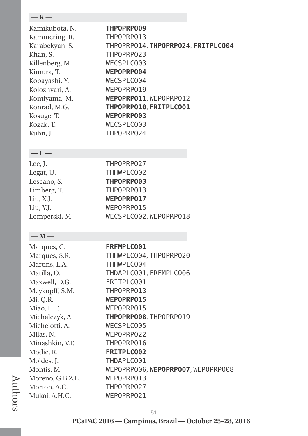| — К —          |                                    |
|----------------|------------------------------------|
| Kamikubota, N. | <b>THPOPRPO09</b>                  |
| Kammering, R.  | THP0PRP013                         |
| Karabekyan, S. | THPOPRP014, THPOPRP024, FRITPLC004 |
| Khan, S.       | THP0PRP023                         |
| Killenberg, M. | WECSPLC003                         |
| Kimura, T.     | WEPOPRP004                         |
| Kobayashi, Y.  | WECSPLC004                         |
| Kolozhvari, A. | WEPOPRP019                         |
| Komiyama, M.   | WEPOPRPO11, WEPOPRP012             |
| Konrad, M.G.   | THPOPRP010, FRITPLC001             |
| Kosuge, T.     | WEPOPRP003                         |
| Kozak, T.      | WECSPLC003                         |
| Kuhn, J.       | THP0PRP024                         |
| $-L-$          |                                    |
| Lee, J.        | THP0PRP027                         |
| Legat, U.      | THHWPLC002                         |
| Lescano, S.    | THPOPRP003                         |
| Limberg, T.    | THP0PRP013                         |
| Liu, X.J.      | WEPOPRP017                         |
| Liu, Y.J.      | WEPOPRP015                         |
| Lomperski, M.  | WECSPLC002, WEPOPRP018             |
| $-M-$          |                                    |
| Marques, C.    | FRFMPLC001                         |
| Marques, S.R.  | THHWPLC004, THP0PRP020             |
| Martins, L.A.  | THHWPLC004                         |
| Matilla, O.    | THDAPLC001, FRFMPLC006             |
| Maxwell, D.G.  | FRITPLC001                         |
| Meykopff, S.M. | THP0PRP013                         |
| Mi, Q.R.       | WEPOPRP015                         |
| Miao, H.F.     | WEPOPRP015                         |
| Michalczyk, A. | THPOPRPO08, THPOPRP019             |
| Michelotti, A. | WECSPLC005                         |

Milas, N. WEPOPRPO22 Minashkin, V.F. THPOPRPO16<br>Modic, R. FRITPLC002 Modic, R. **FRITPLC002**<br>Moldes, J. **FHDAPLC001** Moldes, J. THDAPLCO01<br>Montis, M. WEPOPRP006.

Moreno, G.B.Z.L. WEPOPRPO13 Morton, A.C. **THPOPRPO27** Mukai, A.H.C. WEPOPRPO21

Authors

#### 51

WEPOPRPO06, WEPOPRPO07, WEPOPRPO08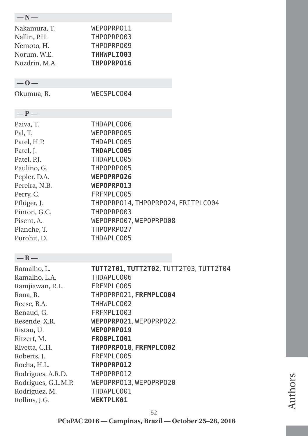| $-N-$               |                                        |
|---------------------|----------------------------------------|
|                     |                                        |
| Nakamura, T.        | WEPOPRPO11                             |
| Nallin, P.H.        | THPOPRP003                             |
| Nemoto, H.          | THPOPRP009                             |
| Norum, W.E.         | THHWPLI003                             |
| Nozdrin, M.A.       | THPOPRP016                             |
| $-0-$               |                                        |
| Okumua, R.          | WECSPLC004                             |
|                     |                                        |
| $-P-$               |                                        |
| Paiva, T.           | THDAPLC006                             |
| Pal, T.             | WEPOPRP005                             |
| Patel, H.P.         | THDAPLC005                             |
| Patel, J.           | THDAPLC005                             |
| Patel, P.J.         | THDAPLC005                             |
| Paulino, G.         | THP0PRP005                             |
| Pepler, D.A.        | WEPOPRP026                             |
| Pereira, N.B.       | WEPOPRP013                             |
| Perry, C.           | FRFMPLC005                             |
| Pflüger, J.         | THPOPRP014, THPOPRP024, FRITPLC004     |
| Pinton, G.C.        | THPOPRP003                             |
| Pisent, A.          | WEPOPRP007, WEPOPRP008                 |
| Planche, T.         | THPOPRP027                             |
| Purohit, D.         | THDAPLC005                             |
| $-R-$               |                                        |
| Ramalho, L.         | TUTT2T01, TUTT2T02, TUTT2T03, TUTT2T04 |
| Ramalho, L.A.       | THDAPLC006                             |
| Ramjiawan, R.L.     | FRFMPLC005                             |
| Rana, R.            | THPOPRPO21, FRFMPLC004                 |
| Reese, B.A.         | THHWPLC002                             |
| Renaud, G.          | FRFMPLI003                             |
| Resende, X.R.       | WEPOPRP021, WEPOPRP022                 |
| Ristau, U.          | WEPOPRP019                             |
| Ritzert, M.         | FRDBPLI001                             |
| Rivetta, C.H.       | THPOPRP018, FRFMPLC002                 |
| Roberts, J.         | FRFMPLC005                             |
| Rocha, H.L.         | THPOPRP012                             |
| Rodrigues, A.R.D.   | THP0PRP012                             |
| Rodrigues, G.L.M.P. | WEPOPRP013, WEPOPRP020                 |
| Rodriguez, M.       | THDAPLC001                             |
| Rollins, J.G.       | WEKTPLK01                              |

Authors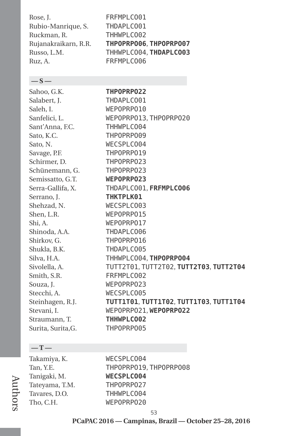| FRFMPLC001             |
|------------------------|
| THDAPLC001             |
| THHWPLC002             |
| THPOPRPO06, THPOPRPO07 |
| THHWPLC004, THDAPLC003 |
| FRFMPLC006             |
|                        |

#### **—S—**

Sahoo, G.K. **THPOPRPO22** Salabert, J. THDAPI C001 Saleh, I. WEPOPRPO10 Sanfelici, L. WEPOPRPO13, THPOPRPO20 Sant'Anna, F.C. THHWPLC004 Sato, K.C. THPOPRP009 Sato, N. WECSPLC004 Savage, P.F. THPOPRP019 Schirmer, D. **THPOPRPO23** Schünemann, G. THPOPRPO23 Semissatto, G.T. **WEPOPRPO23** Serra-Gallifa, X. THDAPLCO01, **FRFMPLCO06** Serrano, J. **THKTPLK01** Shehzad, N. WECSPLC003 Shen, L.R. WEPOPRPO15 Shi, A. WEPOPRPO17 Shinoda, A.A. THDAPLCO06 Shirkov, G. THPOPRP016 Shukla, B.K. THDAPLCO05 Silva, H.A. THHWPLCO04, **THPOPRPO04** Sivolella, A. TUTT2T01, TUTT2T02, **TUTT2T03**, **TUTT2T04** Smith, S.R. **FRFMPLC002** Souza, J. WEPOPRPO23 Stecchi, A. WECSPLC005 Steinhagen, R.J. **TUTT1T01**, **TUTT1T02**, **TUTT1T03**, **TUTT1T04** Stevani, I. WEPOPRPO21, **WEPOPRPO22** Straumann, T. **THHWPLCO02** Surita, Surita,G. THPOPRPO05

#### **—T—**

Authors

| Takamiya, K.   |
|----------------|
| Tan, Y.E.      |
| Tanigaki, M.   |
| Tateyama, T.M. |
| Tavares, D.O.  |
| Tho, C.H.      |

WECSPLC004 THPOPRPO19, THPOPRPO08 WECSPLC004 THPOPRPO27 THHWPLC004 WEPOPRPO20

**PCaPAC 2016 — Campinas, Brazil — October 25–28, 2016**